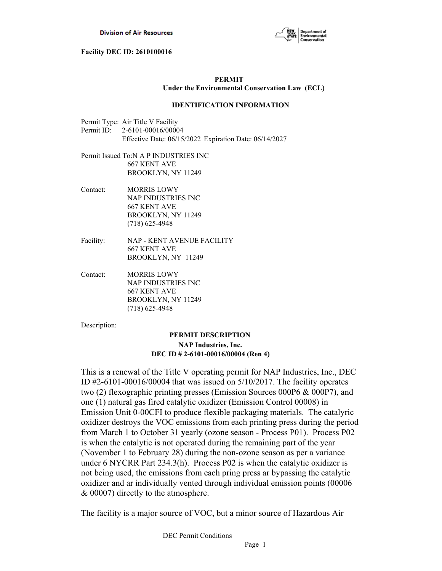

# **PERMIT Under the Environmental Conservation Law (ECL)**

# **IDENTIFICATION INFORMATION**

- Permit Type: Air Title V Facility Permit ID: 2-6101-00016/00004 Effective Date: 06/15/2022 Expiration Date: 06/14/2027
- Permit Issued To:N A P INDUSTRIES INC 667 KENT AVE BROOKLYN, NY 11249
- Contact: MORRIS LOWY NAP INDUSTRIES INC 667 KENT AVE BROOKLYN, NY 11249 (718) 625-4948
- Facility: NAP KENT AVENUE FACILITY 667 KENT AVE BROOKLYN, NY 11249
- Contact: MORRIS LOWY NAP INDUSTRIES INC 667 KENT AVE BROOKLYN, NY 11249 (718) 625-4948

Description:

# **PERMIT DESCRIPTION NAP Industries, Inc. DEC ID # 2-6101-00016/00004 (Ren 4)**

This is a renewal of the Title V operating permit for NAP Industries, Inc., DEC ID  $\text{\#2-6101-00016/00004}$  that was issued on  $\frac{5}{10/2017}$ . The facility operates two (2) flexographic printing presses (Emission Sources 000P6 & 000P7), and one (1) natural gas fired catalytic oxidizer (Emission Control 00008) in Emission Unit 0-00CFI to produce flexible packaging materials. The catalyric oxidizer destroys the VOC emissions from each printing press during the period from March 1 to October 31 **y**early (ozone season - Process P01). Process P02 is when the catalytic is not operated during the remaining part of the year (November 1 to February 28) during the non-ozone season as per a variance under 6 NYCRR Part 234.3(h). Process P02 is when the catalytic oxidizer is not being used, the emissions from each pring press ar bypassing the catalytic oxidizer and ar individually vented through individual emission points (00006 & 00007) directly to the atmosphere.

The facility is a major source of VOC, but a minor source of Hazardous Air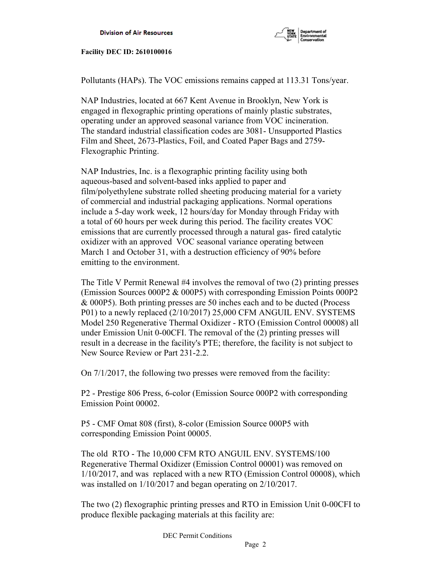

Pollutants (HAPs). The VOC emissions remains capped at 113.31 Tons/year.

NAP Industries, located at 667 Kent Avenue in Brooklyn, New York is engaged in flexographic printing operations of mainly plastic substrates, operating under an approved seasonal variance from VOC incineration. The standard industrial classification codes are 3081- Unsupported Plastics Film and Sheet, 2673-Plastics, Foil, and Coated Paper Bags and 2759- Flexographic Printing.

NAP Industries, Inc. is a flexographic printing facility using both aqueous-based and solvent-based inks applied to paper and film/polyethylene substrate rolled sheeting producing material for a variety of commercial and industrial packaging applications. Normal operations include a 5-day work week, 12 hours/day for Monday through Friday with a total of 60 hours per week during this period. The facility creates VOC emissions that are currently processed through a natural gas- fired catalytic oxidizer with an approved VOC seasonal variance operating between March 1 and October 31, with a destruction efficiency of 90% before emitting to the environment.

The Title V Permit Renewal #4 involves the removal of two (2) printing presses (Emission Sources 000P2 & 000P5) with corresponding Emission Points 000P2 & 000P5). Both printing presses are 50 inches each and to be ducted (Process P01) to a newly replaced (2/10/2017) 25,000 CFM ANGUIL ENV. SYSTEMS Model 250 Regenerative Thermal Oxidizer - RTO (Emission Control 00008) all under Emission Unit 0-00CFI. The removal of the (2) printing presses will result in a decrease in the facility's PTE; therefore, the facility is not subject to New Source Review or Part 231-2.2.

On 7/1/2017, the following two presses were removed from the facility:

P2 - Prestige 806 Press, 6-color (Emission Source 000P2 with corresponding Emission Point 00002.

P5 - CMF Omat 808 (first), 8-color (Emission Source 000P5 with corresponding Emission Point 00005.

The old RTO - The 10,000 CFM RTO ANGUIL ENV. SYSTEMS/100 Regenerative Thermal Oxidizer (Emission Control 00001) was removed on 1/10/2017, and was replaced with a new RTO (Emission Control 00008), which was installed on 1/10/2017 and began operating on 2/10/2017.

The two (2) flexographic printing presses and RTO in Emission Unit 0-00CFI to produce flexible packaging materials at this facility are: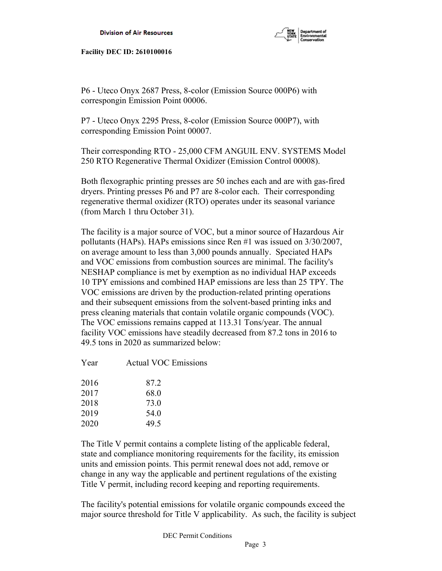

P6 - Uteco Onyx 2687 Press, 8-color (Emission Source 000P6) with correspongin Emission Point 00006.

P7 - Uteco Onyx 2295 Press, 8-color (Emission Source 000P7), with corresponding Emission Point 00007.

Their corresponding RTO - 25,000 CFM ANGUIL ENV. SYSTEMS Model 250 RTO Regenerative Thermal Oxidizer (Emission Control 00008).

Both flexographic printing presses are 50 inches each and are with gas-fired dryers. Printing presses P6 and P7 are 8-color each. Their corresponding regenerative thermal oxidizer (RTO) operates under its seasonal variance (from March 1 thru October 31).

The facility is a major source of VOC, but a minor source of Hazardous Air pollutants (HAPs). HAPs emissions since Ren #1 was issued on 3/30/2007, on average amount to less than 3,000 pounds annually. Speciated HAPs and VOC emissions from combustion sources are minimal. The facility's NESHAP compliance is met by exemption as no individual HAP exceeds 10 TPY emissions and combined HAP emissions are less than 25 TPY. The VOC emissions are driven by the production-related printing operations and their subsequent emissions from the solvent-based printing inks and press cleaning materials that contain volatile organic compounds (VOC). The VOC emissions remains capped at 113.31 Tons/year. The annual facility VOC emissions have steadily decreased from 87.2 tons in 2016 to 49.5 tons in 2020 as summarized below:

| Year | <b>Actual VOC Emissions</b> |
|------|-----------------------------|
| 2016 | 87.2                        |
| 2017 | 68.0                        |
| 2018 | 73.0                        |
| 2019 | 54.0                        |
| 2020 | 49.5                        |
|      |                             |

The Title V permit contains a complete listing of the applicable federal, state and compliance monitoring requirements for the facility, its emission units and emission points. This permit renewal does not add, remove or change in any way the applicable and pertinent regulations of the existing Title V permit, including record keeping and reporting requirements.

The facility's potential emissions for volatile organic compounds exceed the major source threshold for Title V applicability. As such, the facility is subject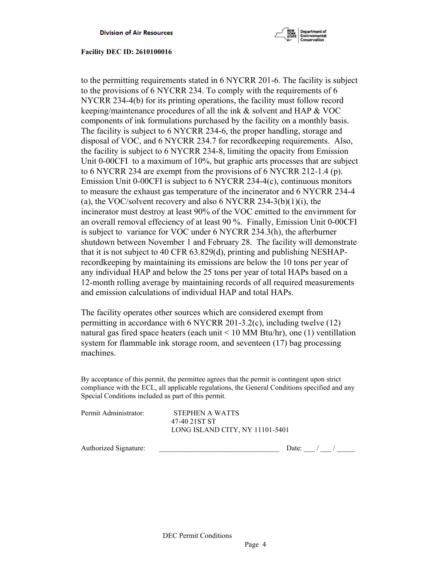

to the permitting requirements stated in 6 NYCRR 201-6. The facility is subject to the provisions of 6 NYCRR 234. To comply with the requirements of 6 NYCRR 234-4(b) for its printing operations, the facility must follow record keeping/maintenance procedures of all the ink & solvent and HAP & VOC components of ink formulations purchased by the facility on a monthly basis. The facility is subject to 6 NYCRR 234-6, the proper handling, storage and disposal of VOC, and 6 NYCRR 234.7 for recordkeeping requirements. Also, the facility is subject to 6 NYCRR 234-8, limiting the opacity from Emission Unit 0-00CFI to a maximum of 10%, but graphic arts processes that are subject to 6 NYCRR 234 are exempt from the provisions of 6 NYCRR 212-1.4 (p). Emission Unit 0-00CFI is subject to 6 NYCRR 234-4(c), continuous monitors to measure the exhaust gas temperature of the incinerator and 6 NYCRR 234-4 (a), the VOC/solvent recovery and also 6 NYCRR 234-3(b)(1)(i), the incinerator must destroy at least 90% of the VOC emitted to the envirnment for an overall removal effeciency of at least 90 %. Finally, Emission Unit 0-00CFI is subject to variance for VOC under 6 NYCRR 234.3(h), the afterburner shutdown between November 1 and February 28. The facility will demonstrate that it is not subject to 40 CFR 63.829(d), printing and publishing NESHAPrecordkeeping by maintaining its emissions are below the 10 tons per year of any individual HAP and below the 25 tons per year of total HAPs based on a 12-month rolling average by maintaining records of all required measurements and emission calculations of individual HAP and total HAPs.

The facility operates other sources which are considered exempt from permitting in accordance with 6 NYCRR 201-3.2(c), including twelve (12) natural gas fired space heaters (each unit  $\leq 10$  MM Btu/hr), one (1) ventillation system for flammable ink storage room, and seventeen (17) bag processing machines.

By acceptance of this permit, the permittee agrees that the permit is contingent upon strict compliance with the ECL, all applicable regulations, the General Conditions specified and any Special Conditions included as part of this permit.

| Permit Administrator: | STEPHEN A WATTS<br>47-40 21ST ST |  |
|-----------------------|----------------------------------|--|
|                       | LONG ISLAND CITY, NY 11101-5401  |  |
|                       |                                  |  |

Authorized Signature:  $\Box$  Date:  $\Box$  /  $\Box$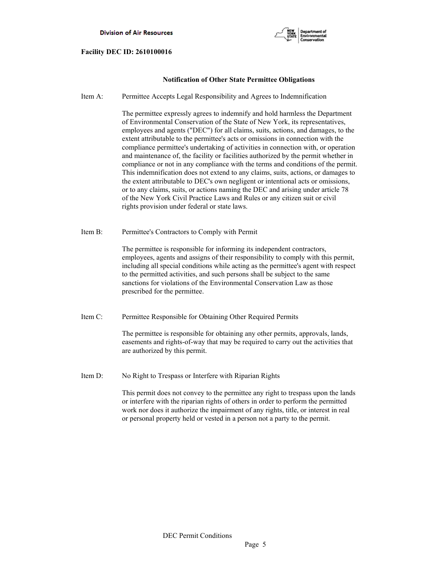

# **Notification of Other State Permittee Obligations**

Item A: Permittee Accepts Legal Responsibility and Agrees to Indemnification

 The permittee expressly agrees to indemnify and hold harmless the Department of Environmental Conservation of the State of New York, its representatives, employees and agents ("DEC") for all claims, suits, actions, and damages, to the extent attributable to the permittee's acts or omissions in connection with the compliance permittee's undertaking of activities in connection with, or operation and maintenance of, the facility or facilities authorized by the permit whether in compliance or not in any compliance with the terms and conditions of the permit. This indemnification does not extend to any claims, suits, actions, or damages to the extent attributable to DEC's own negligent or intentional acts or omissions, or to any claims, suits, or actions naming the DEC and arising under article 78 of the New York Civil Practice Laws and Rules or any citizen suit or civil rights provision under federal or state laws.

Item B: Permittee's Contractors to Comply with Permit

 The permittee is responsible for informing its independent contractors, employees, agents and assigns of their responsibility to comply with this permit, including all special conditions while acting as the permittee's agent with respect to the permitted activities, and such persons shall be subject to the same sanctions for violations of the Environmental Conservation Law as those prescribed for the permittee.

Item C: Permittee Responsible for Obtaining Other Required Permits

 The permittee is responsible for obtaining any other permits, approvals, lands, easements and rights-of-way that may be required to carry out the activities that are authorized by this permit.

Item D: No Right to Trespass or Interfere with Riparian Rights

 This permit does not convey to the permittee any right to trespass upon the lands or interfere with the riparian rights of others in order to perform the permitted work nor does it authorize the impairment of any rights, title, or interest in real or personal property held or vested in a person not a party to the permit.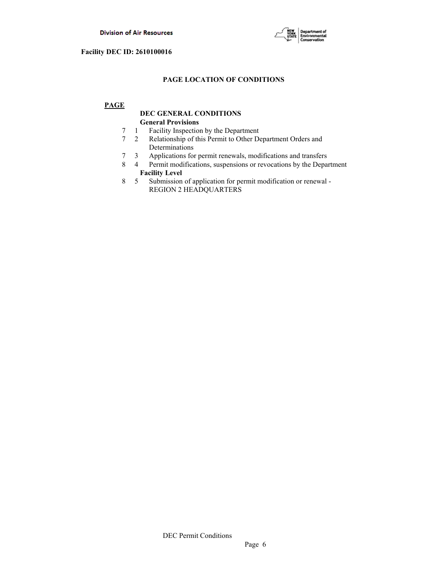

# **PAGE LOCATION OF CONDITIONS**

# **PAGE**

# **DEC GENERAL CONDITIONS General Provisions**

- 7 1 Facility Inspection by the Department
- 7 2 Relationship of this Permit to Other Department Orders and Determinations
- 7 3 Applications for permit renewals, modifications and transfers
- 8 4 Permit modifications, suspensions or revocations by the Department  **Facility Level**
- 8 5 Submission of application for permit modification or renewal REGION 2 HEADQUARTERS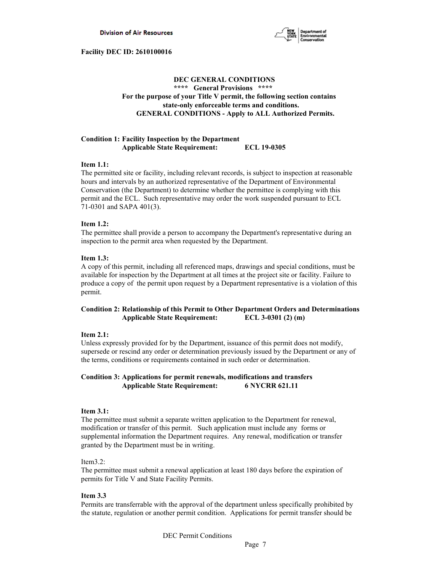

# **DEC GENERAL CONDITIONS \*\*\*\* General Provisions \*\*\*\* For the purpose of your Title V permit, the following section contains state-only enforceable terms and conditions. GENERAL CONDITIONS - Apply to ALL Authorized Permits.**

### **Condition 1: Facility Inspection by the Department Applicable State Requirement: ECL 19-0305**

### **Item 1.1:**

The permitted site or facility, including relevant records, is subject to inspection at reasonable hours and intervals by an authorized representative of the Department of Environmental Conservation (the Department) to determine whether the permittee is complying with this permit and the ECL. Such representative may order the work suspended pursuant to ECL 71-0301 and SAPA 401(3).

# **Item 1.2:**

The permittee shall provide a person to accompany the Department's representative during an inspection to the permit area when requested by the Department.

# **Item 1.3:**

A copy of this permit, including all referenced maps, drawings and special conditions, must be available for inspection by the Department at all times at the project site or facility. Failure to produce a copy of the permit upon request by a Department representative is a violation of this permit.

# **Condition 2: Relationship of this Permit to Other Department Orders and Determinations Applicable State Requirement: ECL 3-0301 (2) (m)**

### **Item 2.1:**

Unless expressly provided for by the Department, issuance of this permit does not modify, supersede or rescind any order or determination previously issued by the Department or any of the terms, conditions or requirements contained in such order or determination.

# **Condition 3: Applications for permit renewals, modifications and transfers Applicable State Requirement: 6 NYCRR 621.11**

### **Item 3.1:**

The permittee must submit a separate written application to the Department for renewal, modification or transfer of this permit. Such application must include any forms or supplemental information the Department requires. Any renewal, modification or transfer granted by the Department must be in writing.

### Item3.2:

The permittee must submit a renewal application at least 180 days before the expiration of permits for Title V and State Facility Permits.

### **Item 3.3**

Permits are transferrable with the approval of the department unless specifically prohibited by the statute, regulation or another permit condition. Applications for permit transfer should be

DEC Permit Conditions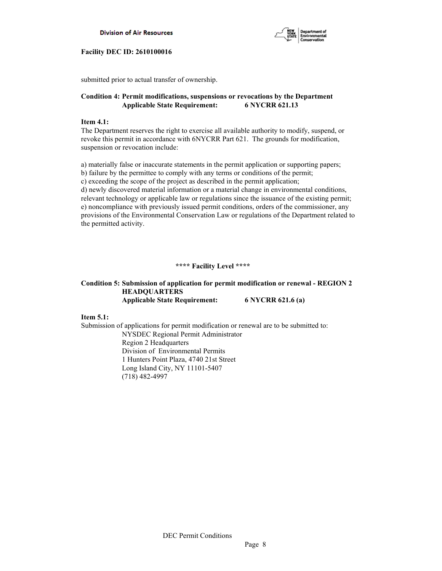



submitted prior to actual transfer of ownership.

# **Condition 4: Permit modifications, suspensions or revocations by the Department Applicable State Requirement: 6 NYCRR 621.13**

### **Item 4.1:**

The Department reserves the right to exercise all available authority to modify, suspend, or revoke this permit in accordance with 6NYCRR Part 621. The grounds for modification, suspension or revocation include:

a) materially false or inaccurate statements in the permit application or supporting papers; b) failure by the permittee to comply with any terms or conditions of the permit; c) exceeding the scope of the project as described in the permit application; d) newly discovered material information or a material change in environmental conditions, relevant technology or applicable law or regulations since the issuance of the existing permit; e) noncompliance with previously issued permit conditions, orders of the commissioner, any provisions of the Environmental Conservation Law or regulations of the Department related to the permitted activity.

# **\*\*\*\* Facility Level \*\*\*\***

# **Condition 5: Submission of application for permit modification or renewal - REGION 2 HEADQUARTERS Applicable State Requirement: 6 NYCRR 621.6 (a)**

**Item 5.1:**

Submission of applications for permit modification or renewal are to be submitted to: NYSDEC Regional Permit Administrator Region 2 Headquarters Division of Environmental Permits 1 Hunters Point Plaza, 4740 21st Street Long Island City, NY 11101-5407 (718) 482-4997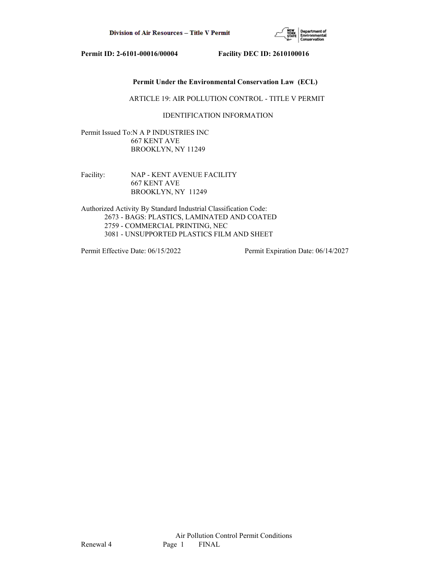

# **Permit Under the Environmental Conservation Law (ECL)**

### ARTICLE 19: AIR POLLUTION CONTROL - TITLE V PERMIT

# IDENTIFICATION INFORMATION

Permit Issued To:N A P INDUSTRIES INC 667 KENT AVE BROOKLYN, NY 11249

Facility: NAP - KENT AVENUE FACILITY 667 KENT AVE BROOKLYN, NY 11249

Authorized Activity By Standard Industrial Classification Code: 2673 - BAGS: PLASTICS, LAMINATED AND COATED 2759 - COMMERCIAL PRINTING, NEC 3081 - UNSUPPORTED PLASTICS FILM AND SHEET

Permit Effective Date: 06/15/2022 Permit Expiration Date: 06/14/2027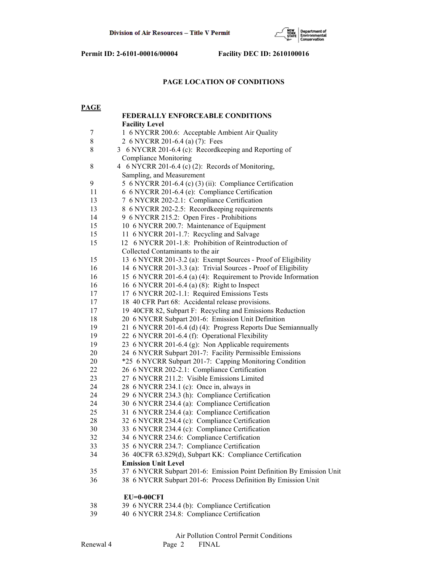

# **PAGE LOCATION OF CONDITIONS**

| <b>PAGE</b> |                                                                      |
|-------------|----------------------------------------------------------------------|
|             | <b>FEDERALLY ENFORCEABLE CONDITIONS</b>                              |
|             | <b>Facility Level</b>                                                |
| 7           | 1 6 NYCRR 200.6: Acceptable Ambient Air Quality                      |
| $8\,$       | 2 6 NYCRR 201-6.4 (a) (7): Fees                                      |
| $\,$ 8 $\,$ | 3 6 NYCRR 201-6.4 (c): Recordkeeping and Reporting of                |
|             | <b>Compliance Monitoring</b>                                         |
| $\,$ $\,$   | 4 6 NYCRR 201-6.4 (c) (2): Records of Monitoring,                    |
|             | Sampling, and Measurement                                            |
| 9           | 5 6 NYCRR 201-6.4 (c) (3) (ii): Compliance Certification             |
| 11          | 6 6 NYCRR 201-6.4 (e): Compliance Certification                      |
| 13          | 7 6 NYCRR 202-2.1: Compliance Certification                          |
| 13          | 8 6 NYCRR 202-2.5: Recordkeeping requirements                        |
| 14          | 9 6 NYCRR 215.2: Open Fires - Prohibitions                           |
| 15          | 10 6 NYCRR 200.7: Maintenance of Equipment                           |
| 15          | 11 6 NYCRR 201-1.7: Recycling and Salvage                            |
| 15          | 12 6 NYCRR 201-1.8: Prohibition of Reintroduction of                 |
|             | Collected Contaminants to the air                                    |
| 15          | 13 6 NYCRR 201-3.2 (a): Exempt Sources - Proof of Eligibility        |
| 16          | 14 6 NYCRR 201-3.3 (a): Trivial Sources - Proof of Eligibility       |
| 16          | 15 6 NYCRR 201-6.4 (a) (4): Requirement to Provide Information       |
| 16          | 16 6 NYCRR 201-6.4 (a) (8): Right to Inspect                         |
| 17          | 17 6 NYCRR 202-1.1: Required Emissions Tests                         |
| 17          | 18 40 CFR Part 68: Accidental release provisions.                    |
| 17          | 19 40CFR 82, Subpart F: Recycling and Emissions Reduction            |
| 18          | 20 6 NYCRR Subpart 201-6: Emission Unit Definition                   |
| 19          | 21 6 NYCRR 201-6.4 (d) (4): Progress Reports Due Semiannually        |
| 19          | 22 6 NYCRR 201-6.4 (f): Operational Flexibility                      |
| 19          | 23 6 NYCRR 201-6.4 (g): Non Applicable requirements                  |
| 20          | 24 6 NYCRR Subpart 201-7: Facility Permissible Emissions             |
| 20          | *25 6 NYCRR Subpart 201-7: Capping Monitoring Condition              |
| 22          | 26 6 NYCRR 202-2.1: Compliance Certification                         |
| 23          | 27 6 NYCRR 211.2: Visible Emissions Limited                          |
| 24          | 28 6 NYCRR 234.1 (c): Once in, always in                             |
| 24          | 29 6 NYCRR 234.3 (h): Compliance Certification                       |
| 24          | 30 6 NYCRR 234.4 (a): Compliance Certification                       |
| 25          | 31 6 NYCRR 234.4 (a): Compliance Certification                       |
| 28          | 32 6 NYCRR 234.4 (c): Compliance Certification                       |
| 30          | 33 6 NYCRR 234.4 (c): Compliance Certification                       |
| 32          | 34 6 NYCRR 234.6: Compliance Certification                           |
| 33          | 35 6 NYCRR 234.7: Compliance Certification                           |
| 34          | 36 40CFR 63.829(d), Subpart KK: Compliance Certification             |
|             | <b>Emission Unit Level</b>                                           |
| 35          | 37 6 NYCRR Subpart 201-6: Emission Point Definition By Emission Unit |
| 36          | 38 6 NYCRR Subpart 201-6: Process Definition By Emission Unit        |
|             | $EU=0-00CFI$                                                         |
| 38          | 39 6 NYCRR 234.4 (b): Compliance Certification                       |
| 39          | 40 6 NYCRR 234.8: Compliance Certification                           |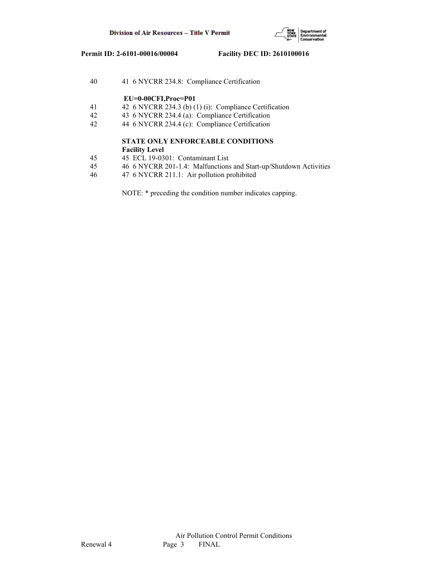

| 40             | 41 6 NYCRR 234.8: Compliance Certification                        |
|----------------|-------------------------------------------------------------------|
|                | $EU=0-00CFI, Proc=PO1$                                            |
| 41             | 42 6 NYCRR 234.3 (b) (1) (i): Compliance Certification            |
| 42             | 43 6 NYCRR 234.4 (a): Compliance Certification                    |
| 42             | 44 6 NYCRR 234.4 (c): Compliance Certification                    |
|                | <b>STATE ONLY ENFORCEABLE CONDITIONS</b>                          |
|                | <b>Facility Level</b>                                             |
| 45             | 45 ECL 19-0301: Contaminant List                                  |
| 45             | 46 6 NYCRR 201-1.4: Malfunctions and Start-up/Shutdown Activities |
| $\overline{1}$ | $17.6$ MVCDD $211.1$ , $\lambda$ is so that consider the $1$      |

46 47 6 NYCRR 211.1: Air pollution prohibited

NOTE: \* preceding the condition number indicates capping.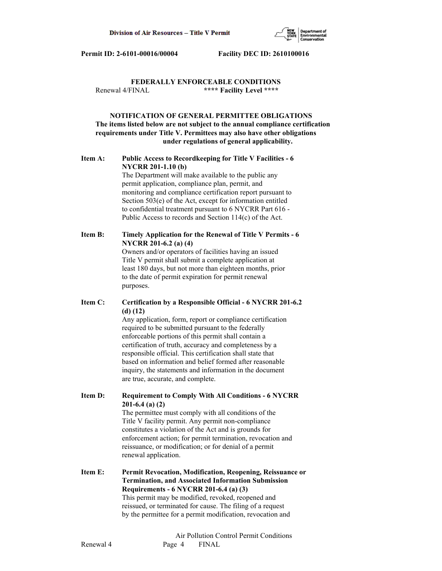

# **FEDERALLY ENFORCEABLE CONDITIONS** Renewal 4/FINAL **\*\*\*\* Facility Level \*\*\*\***

# **NOTIFICATION OF GENERAL PERMITTEE OBLIGATIONS The items listed below are not subject to the annual compliance certification requirements under Title V. Permittees may also have other obligations under regulations of general applicability.**

# **Item A: Public Access to Recordkeeping for Title V Facilities - 6 NYCRR 201-1.10 (b)**

 The Department will make available to the public any permit application, compliance plan, permit, and monitoring and compliance certification report pursuant to Section 503(e) of the Act, except for information entitled to confidential treatment pursuant to 6 NYCRR Part 616 - Public Access to records and Section 114(c) of the Act.

# **Item B: Timely Application for the Renewal of Title V Permits - 6 NYCRR 201-6.2 (a) (4)**

 Owners and/or operators of facilities having an issued Title V permit shall submit a complete application at least 180 days, but not more than eighteen months, prior to the date of permit expiration for permit renewal purposes.

# **Item C: Certification by a Responsible Official - 6 NYCRR 201-6.2 (d) (12)**

 Any application, form, report or compliance certification required to be submitted pursuant to the federally enforceable portions of this permit shall contain a certification of truth, accuracy and completeness by a responsible official. This certification shall state that based on information and belief formed after reasonable inquiry, the statements and information in the document are true, accurate, and complete.

**Item D: Requirement to Comply With All Conditions - 6 NYCRR 201-6.4 (a) (2)**

 The permittee must comply with all conditions of the Title V facility permit. Any permit non-compliance constitutes a violation of the Act and is grounds for enforcement action; for permit termination, revocation and reissuance, or modification; or for denial of a permit renewal application.

**Item E: Permit Revocation, Modification, Reopening, Reissuance or Termination, and Associated Information Submission Requirements - 6 NYCRR 201-6.4 (a) (3)** This permit may be modified, revoked, reopened and reissued, or terminated for cause. The filing of a request by the permittee for a permit modification, revocation and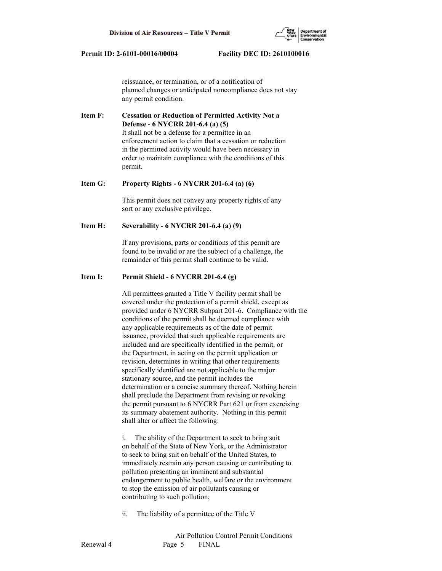reissuance, or termination, or of a notification of planned changes or anticipated noncompliance does not stay any permit condition.

**Item F: Cessation or Reduction of Permitted Activity Not a Defense - 6 NYCRR 201-6.4 (a) (5)** It shall not be a defense for a permittee in an enforcement action to claim that a cessation or reduction in the permitted activity would have been necessary in order to maintain compliance with the conditions of this permit.

### **Item G: Property Rights - 6 NYCRR 201-6.4 (a) (6)**

 This permit does not convey any property rights of any sort or any exclusive privilege.

### **Item H: Severability - 6 NYCRR 201-6.4 (a) (9)**

 If any provisions, parts or conditions of this permit are found to be invalid or are the subject of a challenge, the remainder of this permit shall continue to be valid.

# **Item I: Permit Shield - 6 NYCRR 201-6.4 (g)**

 All permittees granted a Title V facility permit shall be covered under the protection of a permit shield, except as provided under 6 NYCRR Subpart 201-6. Compliance with the conditions of the permit shall be deemed compliance with any applicable requirements as of the date of permit issuance, provided that such applicable requirements are included and are specifically identified in the permit, or the Department, in acting on the permit application or revision, determines in writing that other requirements specifically identified are not applicable to the major stationary source, and the permit includes the determination or a concise summary thereof. Nothing herein shall preclude the Department from revising or revoking the permit pursuant to 6 NYCRR Part 621 or from exercising its summary abatement authority. Nothing in this permit shall alter or affect the following:

 i. The ability of the Department to seek to bring suit on behalf of the State of New York, or the Administrator to seek to bring suit on behalf of the United States, to immediately restrain any person causing or contributing to pollution presenting an imminent and substantial endangerment to public health, welfare or the environment to stop the emission of air pollutants causing or contributing to such pollution;

ii. The liability of a permittee of the Title V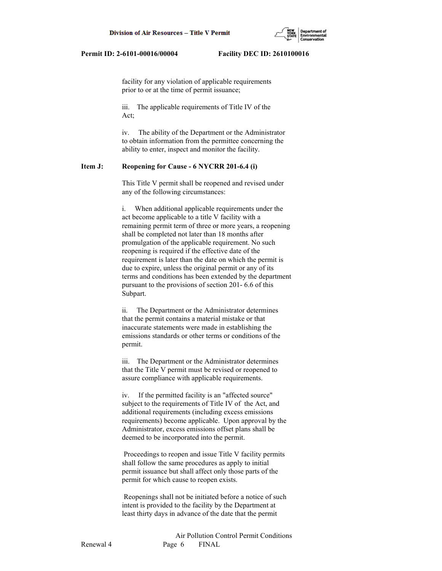facility for any violation of applicable requirements prior to or at the time of permit issuance;

 iii. The applicable requirements of Title IV of the Act;

 iv. The ability of the Department or the Administrator to obtain information from the permittee concerning the ability to enter, inspect and monitor the facility.

### **Item J: Reopening for Cause - 6 NYCRR 201-6.4 (i)**

 This Title V permit shall be reopened and revised under any of the following circumstances:

 i. When additional applicable requirements under the act become applicable to a title V facility with a remaining permit term of three or more years, a reopening shall be completed not later than 18 months after promulgation of the applicable requirement. No such reopening is required if the effective date of the requirement is later than the date on which the permit is due to expire, unless the original permit or any of its terms and conditions has been extended by the department pursuant to the provisions of section 201- 6.6 of this Subpart.

 ii. The Department or the Administrator determines that the permit contains a material mistake or that inaccurate statements were made in establishing the emissions standards or other terms or conditions of the permit.

 iii. The Department or the Administrator determines that the Title V permit must be revised or reopened to assure compliance with applicable requirements.

 iv. If the permitted facility is an "affected source" subject to the requirements of Title IV of the Act, and additional requirements (including excess emissions requirements) become applicable. Upon approval by the Administrator, excess emissions offset plans shall be deemed to be incorporated into the permit.

 Proceedings to reopen and issue Title V facility permits shall follow the same procedures as apply to initial permit issuance but shall affect only those parts of the permit for which cause to reopen exists.

 Reopenings shall not be initiated before a notice of such intent is provided to the facility by the Department at least thirty days in advance of the date that the permit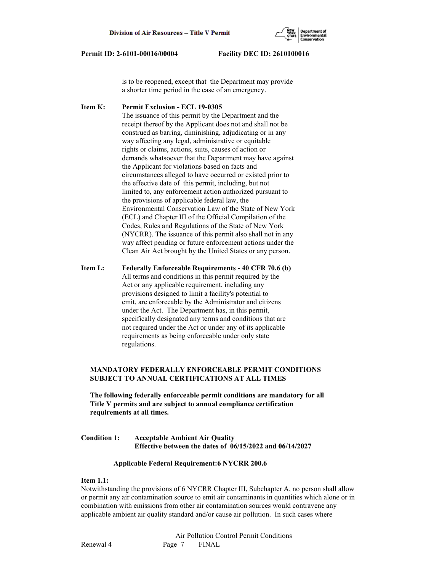

 is to be reopened, except that the Department may provide a shorter time period in the case of an emergency.

**Item K: Permit Exclusion - ECL 19-0305** The issuance of this permit by the Department and the receipt thereof by the Applicant does not and shall not be construed as barring, diminishing, adjudicating or in any way affecting any legal, administrative or equitable rights or claims, actions, suits, causes of action or demands whatsoever that the Department may have against the Applicant for violations based on facts and circumstances alleged to have occurred or existed prior to the effective date of this permit, including, but not limited to, any enforcement action authorized pursuant to the provisions of applicable federal law, the Environmental Conservation Law of the State of New York (ECL) and Chapter III of the Official Compilation of the Codes, Rules and Regulations of the State of New York (NYCRR). The issuance of this permit also shall not in any way affect pending or future enforcement actions under the Clean Air Act brought by the United States or any person.

**Item L: Federally Enforceable Requirements - 40 CFR 70.6 (b)** All terms and conditions in this permit required by the Act or any applicable requirement, including any provisions designed to limit a facility's potential to emit, are enforceable by the Administrator and citizens under the Act. The Department has, in this permit, specifically designated any terms and conditions that are not required under the Act or under any of its applicable requirements as being enforceable under only state regulations.

# **MANDATORY FEDERALLY ENFORCEABLE PERMIT CONDITIONS SUBJECT TO ANNUAL CERTIFICATIONS AT ALL TIMES**

 **The following federally enforceable permit conditions are mandatory for all Title V permits and are subject to annual compliance certification requirements at all times.**

**Condition 1: Acceptable Ambient Air Quality Effective between the dates of 06/15/2022 and 06/14/2027**

### **Applicable Federal Requirement:6 NYCRR 200.6**

### **Item 1.1:**

Notwithstanding the provisions of 6 NYCRR Chapter III, Subchapter A, no person shall allow or permit any air contamination source to emit air contaminants in quantities which alone or in combination with emissions from other air contamination sources would contravene any applicable ambient air quality standard and/or cause air pollution. In such cases where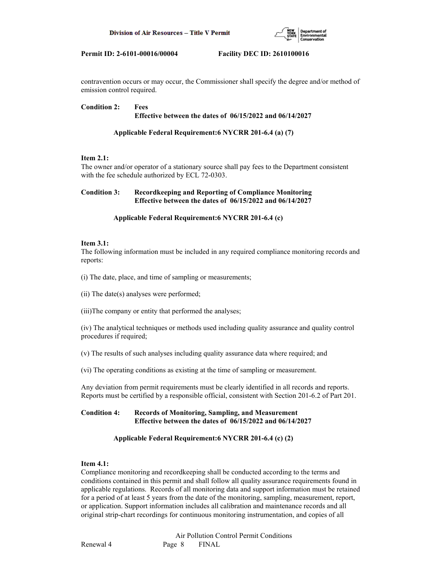

contravention occurs or may occur, the Commissioner shall specify the degree and/or method of emission control required.

# **Condition 2: Fees Effective between the dates of 06/15/2022 and 06/14/2027**

# **Applicable Federal Requirement:6 NYCRR 201-6.4 (a) (7)**

# **Item 2.1:**

The owner and/or operator of a stationary source shall pay fees to the Department consistent with the fee schedule authorized by ECL 72-0303.

# **Condition 3: Recordkeeping and Reporting of Compliance Monitoring Effective between the dates of 06/15/2022 and 06/14/2027**

# **Applicable Federal Requirement:6 NYCRR 201-6.4 (c)**

# **Item 3.1:**

The following information must be included in any required compliance monitoring records and reports:

(i) The date, place, and time of sampling or measurements;

(ii) The date(s) analyses were performed;

(iii)The company or entity that performed the analyses;

(iv) The analytical techniques or methods used including quality assurance and quality control procedures if required;

(v) The results of such analyses including quality assurance data where required; and

(vi) The operating conditions as existing at the time of sampling or measurement.

Any deviation from permit requirements must be clearly identified in all records and reports. Reports must be certified by a responsible official, consistent with Section 201-6.2 of Part 201.

# **Condition 4: Records of Monitoring, Sampling, and Measurement Effective between the dates of 06/15/2022 and 06/14/2027**

# **Applicable Federal Requirement:6 NYCRR 201-6.4 (c) (2)**

# **Item 4.1:**

Compliance monitoring and recordkeeping shall be conducted according to the terms and conditions contained in this permit and shall follow all quality assurance requirements found in applicable regulations. Records of all monitoring data and support information must be retained for a period of at least 5 years from the date of the monitoring, sampling, measurement, report, or application. Support information includes all calibration and maintenance records and all original strip-chart recordings for continuous monitoring instrumentation, and copies of all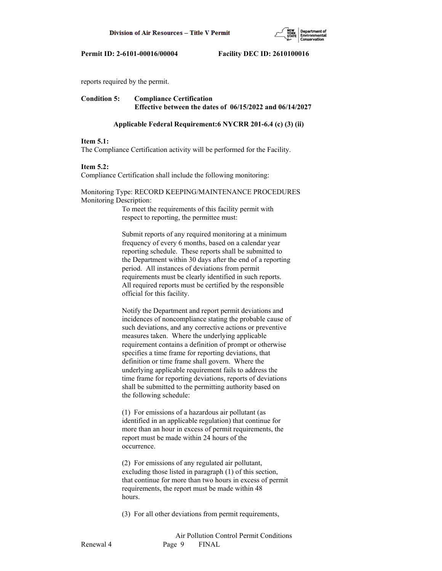

reports required by the permit.

# **Condition 5: Compliance Certification Effective between the dates of 06/15/2022 and 06/14/2027**

### **Applicable Federal Requirement:6 NYCRR 201-6.4 (c) (3) (ii)**

### **Item 5.1:**

The Compliance Certification activity will be performed for the Facility.

### **Item 5.2:**

Compliance Certification shall include the following monitoring:

### Monitoring Type: RECORD KEEPING/MAINTENANCE PROCEDURES Monitoring Description:

 To meet the requirements of this facility permit with respect to reporting, the permittee must:

 Submit reports of any required monitoring at a minimum frequency of every 6 months, based on a calendar year reporting schedule. These reports shall be submitted to the Department within 30 days after the end of a reporting period. All instances of deviations from permit requirements must be clearly identified in such reports. All required reports must be certified by the responsible official for this facility.

 Notify the Department and report permit deviations and incidences of noncompliance stating the probable cause of such deviations, and any corrective actions or preventive measures taken. Where the underlying applicable requirement contains a definition of prompt or otherwise specifies a time frame for reporting deviations, that definition or time frame shall govern. Where the underlying applicable requirement fails to address the time frame for reporting deviations, reports of deviations shall be submitted to the permitting authority based on the following schedule:

 (1) For emissions of a hazardous air pollutant (as identified in an applicable regulation) that continue for more than an hour in excess of permit requirements, the report must be made within 24 hours of the occurrence.

 (2) For emissions of any regulated air pollutant, excluding those listed in paragraph (1) of this section, that continue for more than two hours in excess of permit requirements, the report must be made within 48 hours.

(3) For all other deviations from permit requirements,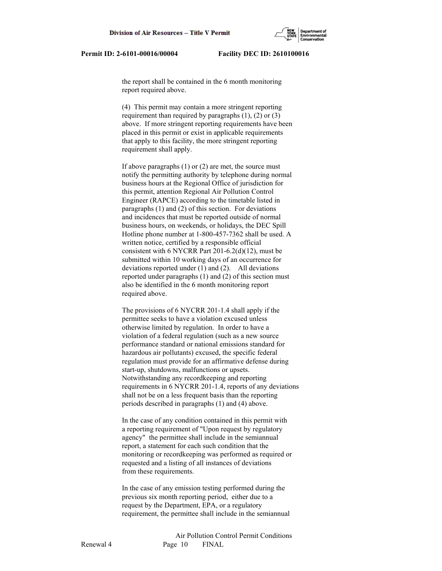the report shall be contained in the 6 month monitoring report required above.

 (4) This permit may contain a more stringent reporting requirement than required by paragraphs  $(1)$ ,  $(2)$  or  $(3)$  above. If more stringent reporting requirements have been placed in this permit or exist in applicable requirements that apply to this facility, the more stringent reporting requirement shall apply.

 If above paragraphs (1) or (2) are met, the source must notify the permitting authority by telephone during normal business hours at the Regional Office of jurisdiction for this permit, attention Regional Air Pollution Control Engineer (RAPCE) according to the timetable listed in paragraphs (1) and (2) of this section. For deviations and incidences that must be reported outside of normal business hours, on weekends, or holidays, the DEC Spill Hotline phone number at 1-800-457-7362 shall be used. A written notice, certified by a responsible official consistent with 6 NYCRR Part 201-6.2(d)(12), must be submitted within 10 working days of an occurrence for deviations reported under (1) and (2). All deviations reported under paragraphs (1) and (2) of this section must also be identified in the 6 month monitoring report required above.

 The provisions of 6 NYCRR 201-1.4 shall apply if the permittee seeks to have a violation excused unless otherwise limited by regulation. In order to have a violation of a federal regulation (such as a new source performance standard or national emissions standard for hazardous air pollutants) excused, the specific federal regulation must provide for an affirmative defense during start-up, shutdowns, malfunctions or upsets. Notwithstanding any recordkeeping and reporting requirements in 6 NYCRR 201-1.4, reports of any deviations shall not be on a less frequent basis than the reporting periods described in paragraphs (1) and (4) above.

 In the case of any condition contained in this permit with a reporting requirement of "Upon request by regulatory agency" the permittee shall include in the semiannual report, a statement for each such condition that the monitoring or recordkeeping was performed as required or requested and a listing of all instances of deviations from these requirements.

 In the case of any emission testing performed during the previous six month reporting period, either due to a request by the Department, EPA, or a regulatory requirement, the permittee shall include in the semiannual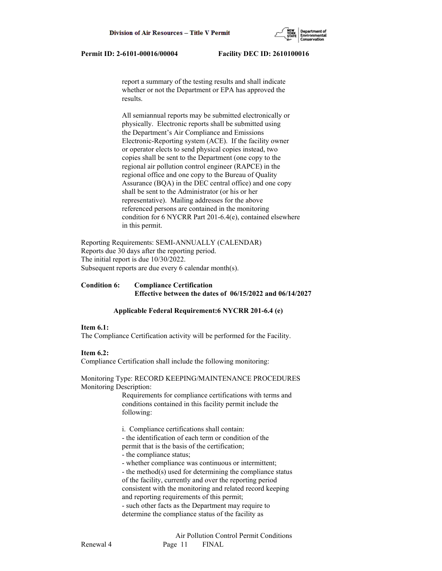report a summary of the testing results and shall indicate whether or not the Department or EPA has approved the results.

 All semiannual reports may be submitted electronically or physically. Electronic reports shall be submitted using the Department's Air Compliance and Emissions Electronic-Reporting system (ACE). If the facility owner or operator elects to send physical copies instead, two copies shall be sent to the Department (one copy to the regional air pollution control engineer (RAPCE) in the regional office and one copy to the Bureau of Quality Assurance (BQA) in the DEC central office) and one copy shall be sent to the Administrator (or his or her representative). Mailing addresses for the above referenced persons are contained in the monitoring condition for 6 NYCRR Part 201-6.4(e), contained elsewhere in this permit.

Reporting Requirements: SEMI-ANNUALLY (CALENDAR) Reports due 30 days after the reporting period. The initial report is due 10/30/2022. Subsequent reports are due every 6 calendar month(s).

### **Condition 6: Compliance Certification Effective between the dates of 06/15/2022 and 06/14/2027**

### **Applicable Federal Requirement:6 NYCRR 201-6.4 (e)**

### **Item 6.1:**

The Compliance Certification activity will be performed for the Facility.

# **Item 6.2:**

Compliance Certification shall include the following monitoring:

Monitoring Type: RECORD KEEPING/MAINTENANCE PROCEDURES Monitoring Description:

> Requirements for compliance certifications with terms and conditions contained in this facility permit include the following:

i. Compliance certifications shall contain:

 - the identification of each term or condition of the permit that is the basis of the certification;

- the compliance status;

- whether compliance was continuous or intermittent;

 - the method(s) used for determining the compliance status of the facility, currently and over the reporting period consistent with the monitoring and related record keeping and reporting requirements of this permit;

 - such other facts as the Department may require to determine the compliance status of the facility as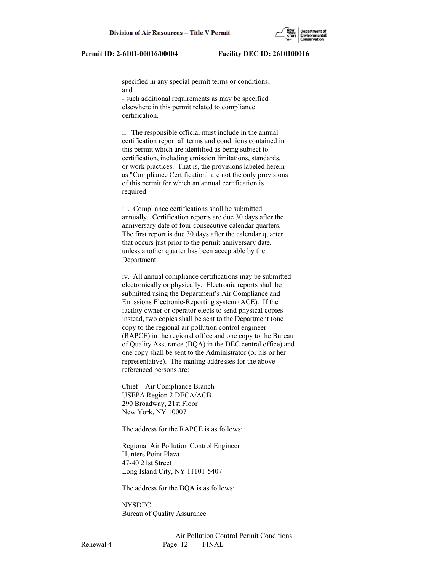specified in any special permit terms or conditions; and

 - such additional requirements as may be specified elsewhere in this permit related to compliance certification.

 ii. The responsible official must include in the annual certification report all terms and conditions contained in this permit which are identified as being subject to certification, including emission limitations, standards, or work practices. That is, the provisions labeled herein as "Compliance Certification" are not the only provisions of this permit for which an annual certification is required.

 iii. Compliance certifications shall be submitted annually. Certification reports are due 30 days after the anniversary date of four consecutive calendar quarters. The first report is due 30 days after the calendar quarter that occurs just prior to the permit anniversary date, unless another quarter has been acceptable by the Department.

 iv. All annual compliance certifications may be submitted electronically or physically. Electronic reports shall be submitted using the Department's Air Compliance and Emissions Electronic-Reporting system (ACE). If the facility owner or operator elects to send physical copies instead, two copies shall be sent to the Department (one copy to the regional air pollution control engineer (RAPCE) in the regional office and one copy to the Bureau of Quality Assurance (BQA) in the DEC central office) and one copy shall be sent to the Administrator (or his or her representative). The mailing addresses for the above referenced persons are:

 Chief – Air Compliance Branch USEPA Region 2 DECA/ACB 290 Broadway, 21st Floor New York, NY 10007

The address for the RAPCE is as follows:

 Regional Air Pollution Control Engineer Hunters Point Plaza 47-40 21st Street Long Island City, NY 11101-5407

The address for the BQA is as follows:

**NYSDEC** Bureau of Quality Assurance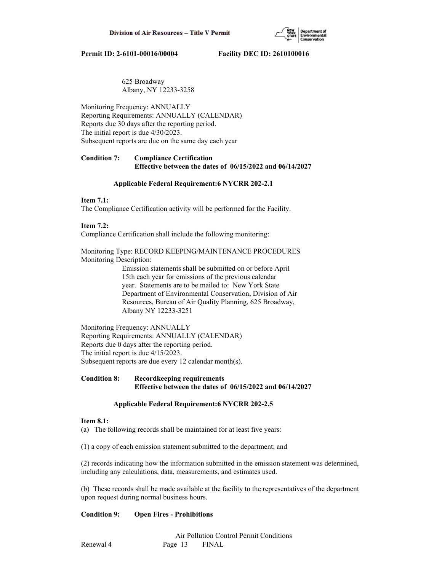

# 625 Broadway Albany, NY 12233-3258

Monitoring Frequency: ANNUALLY Reporting Requirements: ANNUALLY (CALENDAR) Reports due 30 days after the reporting period. The initial report is due 4/30/2023. Subsequent reports are due on the same day each year

# **Condition 7: Compliance Certification Effective between the dates of 06/15/2022 and 06/14/2027**

# **Applicable Federal Requirement:6 NYCRR 202-2.1**

# **Item 7.1:**

The Compliance Certification activity will be performed for the Facility.

# **Item 7.2:**

Compliance Certification shall include the following monitoring:

Monitoring Type: RECORD KEEPING/MAINTENANCE PROCEDURES Monitoring Description:

> Emission statements shall be submitted on or before April 15th each year for emissions of the previous calendar year. Statements are to be mailed to: New York State Department of Environmental Conservation, Division of Air Resources, Bureau of Air Quality Planning, 625 Broadway, Albany NY 12233-3251

Monitoring Frequency: ANNUALLY Reporting Requirements: ANNUALLY (CALENDAR) Reports due 0 days after the reporting period. The initial report is due 4/15/2023. Subsequent reports are due every 12 calendar month(s).

# **Condition 8: Recordkeeping requirements Effective between the dates of 06/15/2022 and 06/14/2027**

# **Applicable Federal Requirement:6 NYCRR 202-2.5**

### **Item 8.1:**

(a) The following records shall be maintained for at least five years:

(1) a copy of each emission statement submitted to the department; and

(2) records indicating how the information submitted in the emission statement was determined, including any calculations, data, measurements, and estimates used.

(b) These records shall be made available at the facility to the representatives of the department upon request during normal business hours.

# **Condition 9: Open Fires - Prohibitions**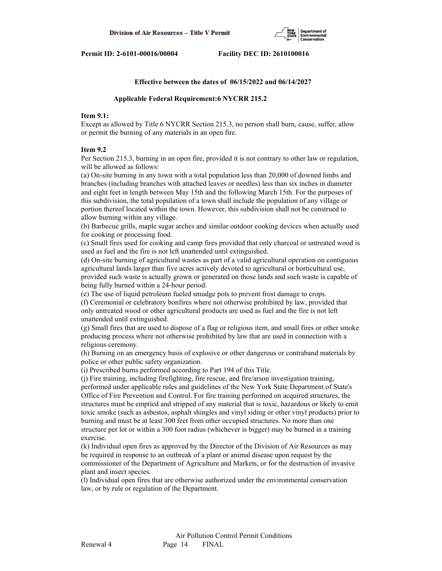

### **Effective between the dates of 06/15/2022 and 06/14/2027**

### **Applicable Federal Requirement:6 NYCRR 215.2**

### **Item 9.1:**

Except as allowed by Title 6 NYCRR Section 215.3, no person shall burn, cause, suffer, allow or permit the burning of any materials in an open fire.

### **Item 9.2**

Per Section 215.3, burning in an open fire, provided it is not contrary to other law or regulation, will be allowed as follows:

(a) On-site burning in any town with a total population less than 20,000 of downed limbs and branches (including branches with attached leaves or needles) less than six inches in diameter and eight feet in length between May 15th and the following March 15th. For the purposes of this subdivision, the total population of a town shall include the population of any village or portion thereof located within the town. However, this subdivision shall not be construed to allow burning within any village.

(b) Barbecue grills, maple sugar arches and similar outdoor cooking devices when actually used for cooking or processing food.

(c) Small fires used for cooking and camp fires provided that only charcoal or untreated wood is used as fuel and the fire is not left unattended until extinguished.

(d) On-site burning of agricultural wastes as part of a valid agricultural operation on contiguous agricultural lands larger than five acres actively devoted to agricultural or horticultural use,

provided such waste is actually grown or generated on those lands and such waste is capable of being fully burned within a 24-hour period.

(e) The use of liquid petroleum fueled smudge pots to prevent frost damage to crops.

(f) Ceremonial or celebratory bonfires where not otherwise prohibited by law, provided that only untreated wood or other agricultural products are used as fuel and the fire is not left unattended until extinguished.

(g) Small fires that are used to dispose of a flag or religious item, and small fires or other smoke producing process where not otherwise prohibited by law that are used in connection with a religious ceremony.

(h) Burning on an emergency basis of explosive or other dangerous or contraband materials by police or other public safety organization.

(i) Prescribed burns performed according to Part 194 of this Title.

(j) Fire training, including firefighting, fire rescue, and fire/arson investigation training, performed under applicable rules and guidelines of the New York State Department of State's Office of Fire Prevention and Control. For fire training performed on acquired structures, the structures must be emptied and stripped of any material that is toxic, hazardous or likely to emit toxic smoke (such as asbestos, asphalt shingles and vinyl siding or other vinyl products) prior to burning and must be at least 300 feet from other occupied structures. No more than one structure per lot or within a 300 foot radius (whichever is bigger) may be burned in a training exercise.

(k) Individual open fires as approved by the Director of the Division of Air Resources as may be required in response to an outbreak of a plant or animal disease upon request by the commissioner of the Department of Agriculture and Markets, or for the destruction of invasive plant and insect species.

(l) Individual open fires that are otherwise authorized under the environmental conservation law, or by rule or regulation of the Department.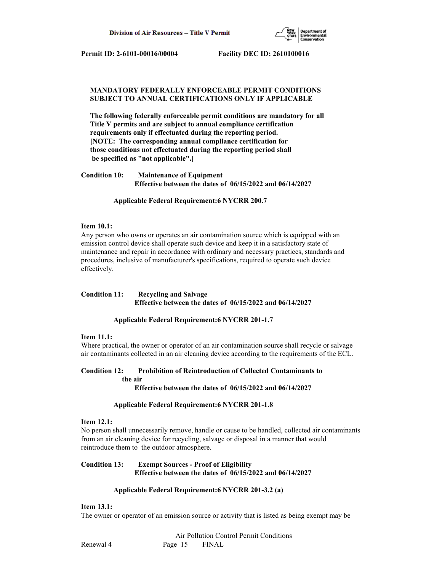

# **MANDATORY FEDERALLY ENFORCEABLE PERMIT CONDITIONS SUBJECT TO ANNUAL CERTIFICATIONS ONLY IF APPLICABLE**

 **The following federally enforceable permit conditions are mandatory for all Title V permits and are subject to annual compliance certification requirements only if effectuated during the reporting period. [NOTE: The corresponding annual compliance certification for those conditions not effectuated during the reporting period shall be specified as "not applicable".]**

**Condition 10: Maintenance of Equipment Effective between the dates of 06/15/2022 and 06/14/2027**

 **Applicable Federal Requirement:6 NYCRR 200.7**

### **Item 10.1:**

Any person who owns or operates an air contamination source which is equipped with an emission control device shall operate such device and keep it in a satisfactory state of maintenance and repair in accordance with ordinary and necessary practices, standards and procedures, inclusive of manufacturer's specifications, required to operate such device effectively.

# **Condition 11: Recycling and Salvage Effective between the dates of 06/15/2022 and 06/14/2027**

### **Applicable Federal Requirement:6 NYCRR 201-1.7**

### **Item 11.1:**

Where practical, the owner or operator of an air contamination source shall recycle or salvage air contaminants collected in an air cleaning device according to the requirements of the ECL.

# **Condition 12: Prohibition of Reintroduction of Collected Contaminants to the air**

 **Effective between the dates of 06/15/2022 and 06/14/2027**

### **Applicable Federal Requirement:6 NYCRR 201-1.8**

### **Item 12.1:**

No person shall unnecessarily remove, handle or cause to be handled, collected air contaminants from an air cleaning device for recycling, salvage or disposal in a manner that would reintroduce them to the outdoor atmosphere.

# **Condition 13: Exempt Sources - Proof of Eligibility Effective between the dates of 06/15/2022 and 06/14/2027**

### **Applicable Federal Requirement:6 NYCRR 201-3.2 (a)**

# **Item 13.1:**

The owner or operator of an emission source or activity that is listed as being exempt may be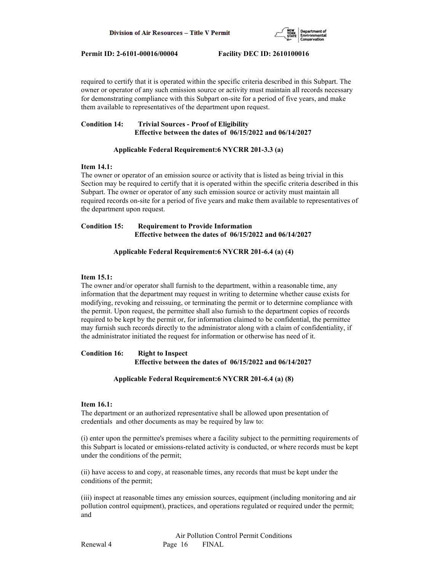

required to certify that it is operated within the specific criteria described in this Subpart. The owner or operator of any such emission source or activity must maintain all records necessary for demonstrating compliance with this Subpart on-site for a period of five years, and make them available to representatives of the department upon request.

# **Condition 14: Trivial Sources - Proof of Eligibility Effective between the dates of 06/15/2022 and 06/14/2027**

# **Applicable Federal Requirement:6 NYCRR 201-3.3 (a)**

# **Item 14.1:**

The owner or operator of an emission source or activity that is listed as being trivial in this Section may be required to certify that it is operated within the specific criteria described in this Subpart. The owner or operator of any such emission source or activity must maintain all required records on-site for a period of five years and make them available to representatives of the department upon request.

# **Condition 15: Requirement to Provide Information Effective between the dates of 06/15/2022 and 06/14/2027**

# **Applicable Federal Requirement:6 NYCRR 201-6.4 (a) (4)**

# **Item 15.1:**

The owner and/or operator shall furnish to the department, within a reasonable time, any information that the department may request in writing to determine whether cause exists for modifying, revoking and reissuing, or terminating the permit or to determine compliance with the permit. Upon request, the permittee shall also furnish to the department copies of records required to be kept by the permit or, for information claimed to be confidential, the permittee may furnish such records directly to the administrator along with a claim of confidentiality, if the administrator initiated the request for information or otherwise has need of it.

# **Condition 16: Right to Inspect Effective between the dates of 06/15/2022 and 06/14/2027**

### **Applicable Federal Requirement:6 NYCRR 201-6.4 (a) (8)**

### **Item 16.1:**

The department or an authorized representative shall be allowed upon presentation of credentials and other documents as may be required by law to:

(i) enter upon the permittee's premises where a facility subject to the permitting requirements of this Subpart is located or emissions-related activity is conducted, or where records must be kept under the conditions of the permit;

(ii) have access to and copy, at reasonable times, any records that must be kept under the conditions of the permit;

(iii) inspect at reasonable times any emission sources, equipment (including monitoring and air pollution control equipment), practices, and operations regulated or required under the permit; and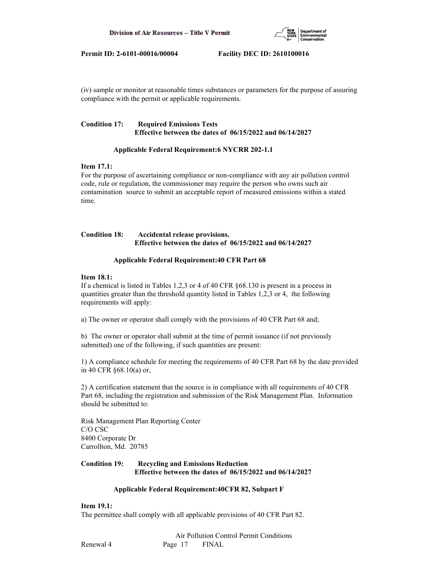

(iv) sample or monitor at reasonable times substances or parameters for the purpose of assuring compliance with the permit or applicable requirements.

# **Condition 17: Required Emissions Tests Effective between the dates of 06/15/2022 and 06/14/2027**

### **Applicable Federal Requirement:6 NYCRR 202-1.1**

### **Item 17.1:**

For the purpose of ascertaining compliance or non-compliance with any air pollution control code, rule or regulation, the commissioner may require the person who owns such air contamination source to submit an acceptable report of measured emissions within a stated time.

# **Condition 18: Accidental release provisions. Effective between the dates of 06/15/2022 and 06/14/2027**

# **Applicable Federal Requirement:40 CFR Part 68**

# **Item 18.1:**

If a chemical is listed in Tables 1,2,3 or 4 of 40 CFR §68.130 is present in a process in quantities greater than the threshold quantity listed in Tables 1,2,3 or 4, the following requirements will apply:

a) The owner or operator shall comply with the provisions of 40 CFR Part 68 and;

b) The owner or operator shall submit at the time of permit issuance (if not previously submitted) one of the following, if such quantities are present:

1) A compliance schedule for meeting the requirements of 40 CFR Part 68 by the date provided in 40 CFR §68.10(a) or,

2) A certification statement that the source is in compliance with all requirements of 40 CFR Part 68, including the registration and submission of the Risk Management Plan. Information should be submitted to:

Risk Management Plan Reporting Center C/O CSC 8400 Corporate Dr Carrollton, Md. 20785

# **Condition 19: Recycling and Emissions Reduction Effective between the dates of 06/15/2022 and 06/14/2027**

### **Applicable Federal Requirement:40CFR 82, Subpart F**

### **Item 19.1:**

The permittee shall comply with all applicable provisions of 40 CFR Part 82.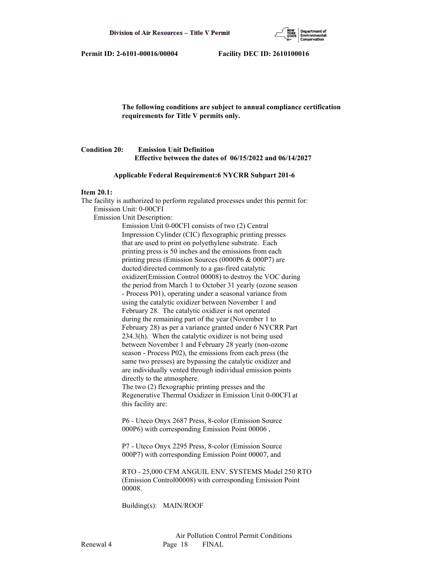

 **The following conditions are subject to annual compliance certification requirements for Title V permits only.**

# **Condition 20: Emission Unit Definition Effective between the dates of 06/15/2022 and 06/14/2027**

### **Applicable Federal Requirement:6 NYCRR Subpart 201-6**

### **Item 20.1:**

The facility is authorized to perform regulated processes under this permit for: Emission Unit: 0-00CFI Emission Unit Description: Emission Unit 0-00CFI consists of two (2) Central Impression Cylinder (CIC) flexographic printing presses that are used to print on polyethylene substrate. Each

 printing press is 50 inches and the emissions from each printing press (Emission Sources (0000P6 & 000P7) are ducted/directed commonly to a gas-fired catalytic oxidizer(Emission Control 00008) to destroy the VOC during the period from March 1 to October 31 yearly (ozone season - Process P01), operating under a seasonal variance from using the catalytic oxidizer between November 1 and February 28. The catalytic oxidizer is not operated during the remaining part of the year (November 1 to February 28) as per a variance granted under 6 NYCRR Part 234.3(h). When the catalytic oxidizer is not being used between November 1 and February 28 yearly (non-ozone season - Process P02), the emissions from each press (the same two presses) are bypassing the catalytic oxidizer and are individually vented through individual emission points directly to the atmosphere.

 The two (2) flexographic printing presses and the Regenerative Thermal Oxidizer in Emission Unit 0-00CFI at this facility are:

 P6 - Uteco Onyx 2687 Press, 8-color (Emission Source 000P6) with corresponding Emission Point 00006 ,

 P7 - Uteco Onyx 2295 Press, 8-color (Emission Source 000P7) with corresponding Emission Point 00007, and

 RTO - 25,000 CFM ANGUIL ENV. SYSTEMS Model 250 RTO (Emission Control00008) with corresponding Emission Point 00008.

Building(s): MAIN/ROOF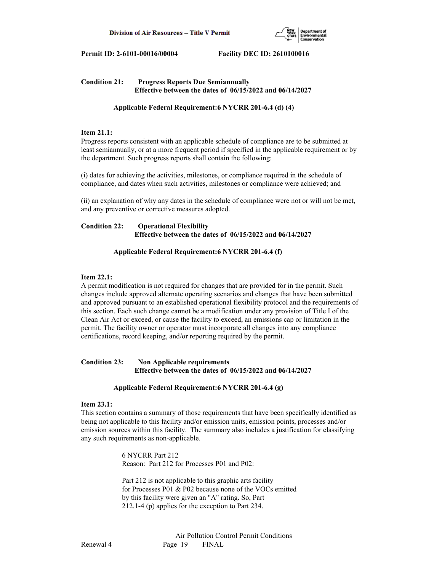

# **Condition 21: Progress Reports Due Semiannually Effective between the dates of 06/15/2022 and 06/14/2027**

# **Applicable Federal Requirement:6 NYCRR 201-6.4 (d) (4)**

# **Item 21.1:**

Progress reports consistent with an applicable schedule of compliance are to be submitted at least semiannually, or at a more frequent period if specified in the applicable requirement or by the department. Such progress reports shall contain the following:

(i) dates for achieving the activities, milestones, or compliance required in the schedule of compliance, and dates when such activities, milestones or compliance were achieved; and

(ii) an explanation of why any dates in the schedule of compliance were not or will not be met, and any preventive or corrective measures adopted.

# **Condition 22: Operational Flexibility Effective between the dates of 06/15/2022 and 06/14/2027**

# **Applicable Federal Requirement:6 NYCRR 201-6.4 (f)**

### **Item 22.1:**

A permit modification is not required for changes that are provided for in the permit. Such changes include approved alternate operating scenarios and changes that have been submitted and approved pursuant to an established operational flexibility protocol and the requirements of this section. Each such change cannot be a modification under any provision of Title I of the Clean Air Act or exceed, or cause the facility to exceed, an emissions cap or limitation in the permit. The facility owner or operator must incorporate all changes into any compliance certifications, record keeping, and/or reporting required by the permit.

# **Condition 23: Non Applicable requirements Effective between the dates of 06/15/2022 and 06/14/2027**

### **Applicable Federal Requirement:6 NYCRR 201-6.4 (g)**

# **Item 23.1:**

This section contains a summary of those requirements that have been specifically identified as being not applicable to this facility and/or emission units, emission points, processes and/or emission sources within this facility. The summary also includes a justification for classifying any such requirements as non-applicable.

> 6 NYCRR Part 212 Reason: Part 212 for Processes P01 and P02:

 Part 212 is not applicable to this graphic arts facility for Processes P01 & P02 because none of the VOCs emitted by this facility were given an "A" rating. So, Part 212.1-4 (p) applies for the exception to Part 234.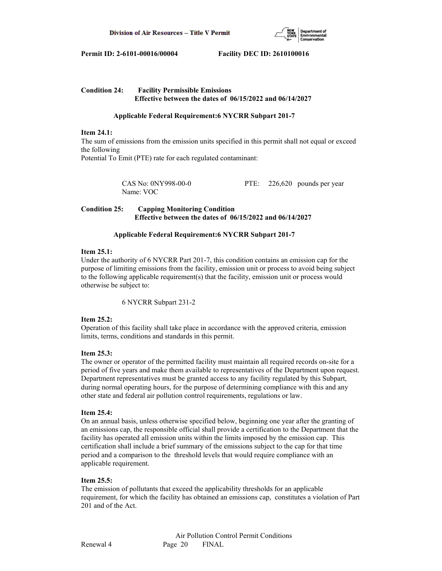

# **Condition 24: Facility Permissible Emissions Effective between the dates of 06/15/2022 and 06/14/2027**

# **Applicable Federal Requirement:6 NYCRR Subpart 201-7**

### **Item 24.1:**

The sum of emissions from the emission units specified in this permit shall not equal or exceed the following Potential To Emit (PTE) rate for each regulated contaminant:

> CAS No: 0NY998-00-0 PTE: 226,620 pounds per year Name: VOC

# **Condition 25: Capping Monitoring Condition Effective between the dates of 06/15/2022 and 06/14/2027**

### **Applicable Federal Requirement:6 NYCRR Subpart 201-7**

### **Item 25.1:**

Under the authority of 6 NYCRR Part 201-7, this condition contains an emission cap for the purpose of limiting emissions from the facility, emission unit or process to avoid being subject to the following applicable requirement(s) that the facility, emission unit or process would otherwise be subject to:

6 NYCRR Subpart 231-2

### **Item 25.2:**

Operation of this facility shall take place in accordance with the approved criteria, emission limits, terms, conditions and standards in this permit.

### **Item 25.3:**

The owner or operator of the permitted facility must maintain all required records on-site for a period of five years and make them available to representatives of the Department upon request. Department representatives must be granted access to any facility regulated by this Subpart, during normal operating hours, for the purpose of determining compliance with this and any other state and federal air pollution control requirements, regulations or law.

### **Item 25.4:**

On an annual basis, unless otherwise specified below, beginning one year after the granting of an emissions cap, the responsible official shall provide a certification to the Department that the facility has operated all emission units within the limits imposed by the emission cap. This certification shall include a brief summary of the emissions subject to the cap for that time period and a comparison to the threshold levels that would require compliance with an applicable requirement.

### **Item 25.5:**

The emission of pollutants that exceed the applicability thresholds for an applicable requirement, for which the facility has obtained an emissions cap, constitutes a violation of Part 201 and of the Act.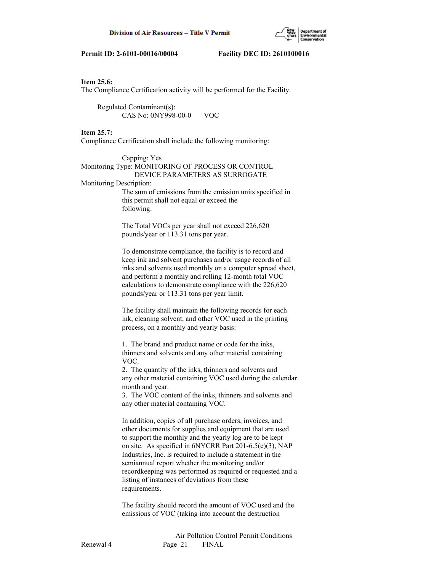

### **Item 25.6:**

The Compliance Certification activity will be performed for the Facility.

 Regulated Contaminant(s): CAS No: 0NY998-00-0 VOC

### **Item 25.7:**

Compliance Certification shall include the following monitoring:

# Capping: Yes Monitoring Type: MONITORING OF PROCESS OR CONTROL DEVICE PARAMETERS AS SURROGATE

Monitoring Description:

 The sum of emissions from the emission units specified in this permit shall not equal or exceed the following.

 The Total VOCs per year shall not exceed 226,620 pounds/year or 113.31 tons per year.

 To demonstrate compliance, the facility is to record and keep ink and solvent purchases and/or usage records of all inks and solvents used monthly on a computer spread sheet, and perform a monthly and rolling 12-month total VOC calculations to demonstrate compliance with the 226,620 pounds/year or 113.31 tons per year limit.

 The facility shall maintain the following records for each ink, cleaning solvent, and other VOC used in the printing process, on a monthly and yearly basis:

 1. The brand and product name or code for the inks, thinners and solvents and any other material containing VOC.

 2. The quantity of the inks, thinners and solvents and any other material containing VOC used during the calendar month and year.

 3. The VOC content of the inks, thinners and solvents and any other material containing VOC.

 In addition, copies of all purchase orders, invoices, and other documents for supplies and equipment that are used to support the monthly and the yearly log are to be kept on site. As specified in 6NYCRR Part 201-6.5(c)(3), NAP Industries, Inc. is required to include a statement in the semiannual report whether the monitoring and/or recordkeeping was performed as required or requested and a listing of instances of deviations from these requirements.

 The facility should record the amount of VOC used and the emissions of VOC (taking into account the destruction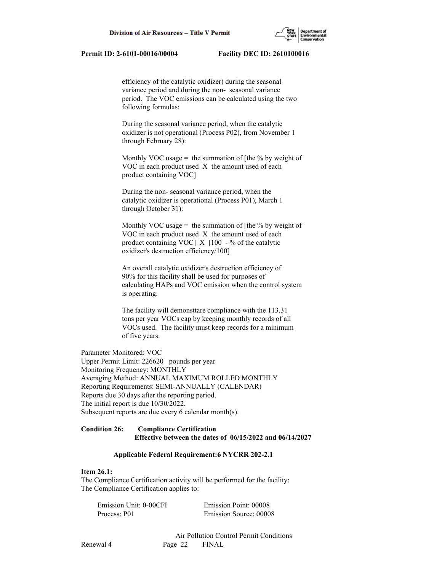efficiency of the catalytic oxidizer) during the seasonal variance period and during the non- seasonal variance period. The VOC emissions can be calculated using the two following formulas:

 During the seasonal variance period, when the catalytic oxidizer is not operational (Process P02), from November 1 through February 28):

Monthly VOC usage = the summation of [the  $\%$  by weight of VOC in each product used X the amount used of each product containing VOC]

 During the non- seasonal variance period, when the catalytic oxidizer is operational (Process P01), March 1 through October 31):

Monthly VOC usage  $=$  the summation of [the % by weight of VOC in each product used X the amount used of each product containing VOC  $\bar{X}$  [100 - % of the catalytic oxidizer's destruction efficiency/100]

 An overall catalytic oxidizer's destruction efficiency of 90% for this facility shall be used for purposes of calculating HAPs and VOC emission when the control system is operating.

 The facility will demonsttare compliance with the 113.31 tons per year VOCs cap by keeping monthly records of all VOCs used. The facility must keep records for a minimum of five years.

Parameter Monitored: VOC

Upper Permit Limit: 226620 pounds per year Monitoring Frequency: MONTHLY Averaging Method: ANNUAL MAXIMUM ROLLED MONTHLY Reporting Requirements: SEMI-ANNUALLY (CALENDAR) Reports due 30 days after the reporting period. The initial report is due 10/30/2022. Subsequent reports are due every 6 calendar month(s).

# **Condition 26: Compliance Certification Effective between the dates of 06/15/2022 and 06/14/2027**

### **Applicable Federal Requirement:6 NYCRR 202-2.1**

### **Item 26.1:**

The Compliance Certification activity will be performed for the facility: The Compliance Certification applies to:

| Emission Unit: 0-00CFI | Emission Point: 00008  |
|------------------------|------------------------|
| Process: P01           | Emission Source: 00008 |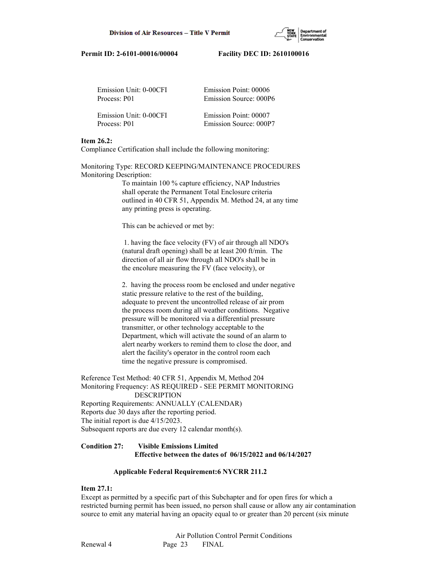

| Emission Unit: 0-00CFI | Emission Point: 00006  |
|------------------------|------------------------|
| Process: P01           | Emission Source: 000P6 |
|                        |                        |
| Emission Unit: 0-00CFI | Emission Point: 00007  |
| Process: P01           | Emission Source: 000P7 |

### **Item 26.2:**

Compliance Certification shall include the following monitoring:

Monitoring Type: RECORD KEEPING/MAINTENANCE PROCEDURES Monitoring Description:

> To maintain 100 % capture efficiency, NAP Industries shall operate the Permanent Total Enclosure criteria outlined in 40 CFR 51, Appendix M. Method 24, at any time any printing press is operating.

This can be achieved or met by:

 1. having the face velocity (FV) of air through all NDO's (natural draft opening) shall be at least 200 ft/min. The direction of all air flow through all NDO's shall be in the encolure measuring the FV (face velocity), or

 2. having the process room be enclosed and under negative static pressure relative to the rest of the building, adequate to prevent the uncontrolled release of air prom the process room during all weather conditions. Negative pressure will be monitored via a differential pressure transmitter, or other technology acceptable to the Department, which will activate the sound of an alarm to alert nearby workers to remind them to close the door, and alert the facility's operator in the control room each time the negative pressure is compromised.

Reference Test Method: 40 CFR 51, Appendix M, Method 204 Monitoring Frequency: AS REQUIRED - SEE PERMIT MONITORING DESCRIPTION Reporting Requirements: ANNUALLY (CALENDAR) Reports due 30 days after the reporting period. The initial report is due 4/15/2023. Subsequent reports are due every 12 calendar month(s).

# **Condition 27: Visible Emissions Limited**

# **Effective between the dates of 06/15/2022 and 06/14/2027**

### **Applicable Federal Requirement:6 NYCRR 211.2**

### **Item 27.1:**

Except as permitted by a specific part of this Subchapter and for open fires for which a restricted burning permit has been issued, no person shall cause or allow any air contamination source to emit any material having an opacity equal to or greater than 20 percent (six minute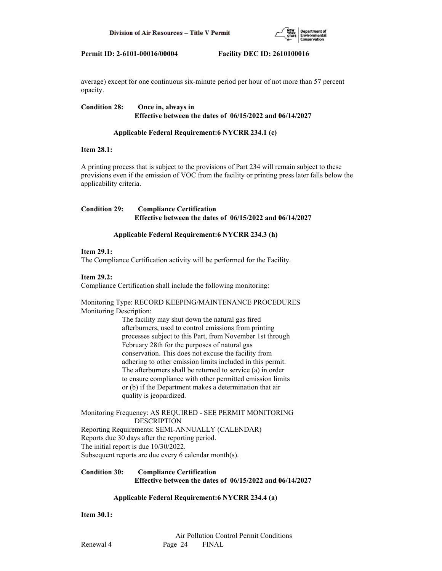

average) except for one continuous six-minute period per hour of not more than 57 percent opacity.

**Condition 28: Once in, always in Effective between the dates of 06/15/2022 and 06/14/2027**

# **Applicable Federal Requirement:6 NYCRR 234.1 (c)**

### **Item 28.1:**

A printing process that is subject to the provisions of Part 234 will remain subject to these provisions even if the emission of VOC from the facility or printing press later falls below the applicability criteria.

# **Condition 29: Compliance Certification Effective between the dates of 06/15/2022 and 06/14/2027**

# **Applicable Federal Requirement:6 NYCRR 234.3 (h)**

# **Item 29.1:**

The Compliance Certification activity will be performed for the Facility.

### **Item 29.2:**

Compliance Certification shall include the following monitoring:

# Monitoring Type: RECORD KEEPING/MAINTENANCE PROCEDURES Monitoring Description:

 The facility may shut down the natural gas fired afterburners, used to control emissions from printing processes subject to this Part, from November 1st through February 28th for the purposes of natural gas conservation. This does not excuse the facility from adhering to other emission limits included in this permit. The afterburners shall be returned to service (a) in order to ensure compliance with other permitted emission limits or (b) if the Department makes a determination that air quality is jeopardized.

### Monitoring Frequency: AS REQUIRED - SEE PERMIT MONITORING DESCRIPTION

Reporting Requirements: SEMI-ANNUALLY (CALENDAR) Reports due 30 days after the reporting period. The initial report is due 10/30/2022. Subsequent reports are due every 6 calendar month(s).

# **Condition 30: Compliance Certification Effective between the dates of 06/15/2022 and 06/14/2027**

# **Applicable Federal Requirement:6 NYCRR 234.4 (a)**

**Item 30.1:**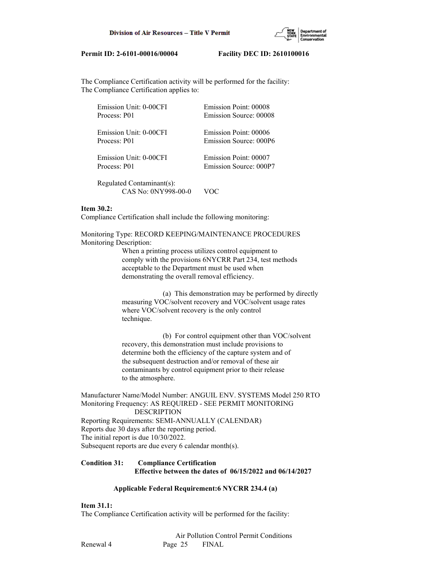

The Compliance Certification activity will be performed for the facility: The Compliance Certification applies to:

| Emission Unit: 0-00CFI    | Emission Point: 00008  |
|---------------------------|------------------------|
| Process: P01              | Emission Source: 00008 |
| Emission Unit: 0-00CFI    | Emission Point: 00006  |
| Process: P01              | Emission Source: 000P6 |
| Emission Unit: 0-00CFI    | Emission Point: 00007  |
| Process: P01              | Emission Source: 000P7 |
| Regulated Contaminant(s): |                        |

### **Item 30.2:**

Compliance Certification shall include the following monitoring:

CAS No: 0NY998-00-0 VOC

Monitoring Type: RECORD KEEPING/MAINTENANCE PROCEDURES Monitoring Description:

> When a printing process utilizes control equipment to comply with the provisions 6NYCRR Part 234, test methods acceptable to the Department must be used when demonstrating the overall removal efficiency.

 (a) This demonstration may be performed by directly measuring VOC/solvent recovery and VOC/solvent usage rates where VOC/solvent recovery is the only control technique.

 (b) For control equipment other than VOC/solvent recovery, this demonstration must include provisions to determine both the efficiency of the capture system and of the subsequent destruction and/or removal of these air contaminants by control equipment prior to their release to the atmosphere.

Manufacturer Name/Model Number: ANGUIL ENV. SYSTEMS Model 250 RTO Monitoring Frequency: AS REQUIRED - SEE PERMIT MONITORING DESCRIPTION Reporting Requirements: SEMI-ANNUALLY (CALENDAR) Reports due 30 days after the reporting period. The initial report is due 10/30/2022. Subsequent reports are due every 6 calendar month(s).

# **Condition 31: Compliance Certification Effective between the dates of 06/15/2022 and 06/14/2027**

### **Applicable Federal Requirement:6 NYCRR 234.4 (a)**

### **Item 31.1:**

The Compliance Certification activity will be performed for the facility: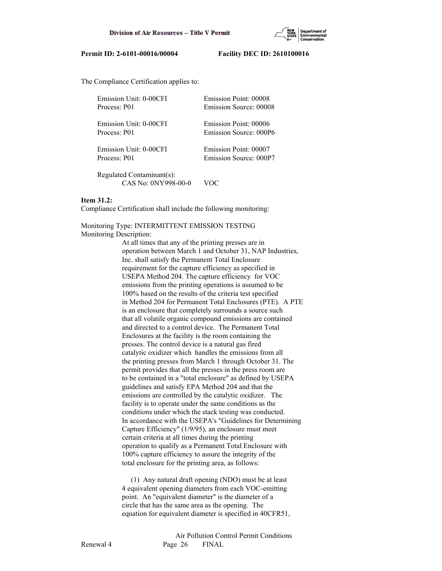

The Compliance Certification applies to:

| Emission Unit: 0-00CFI    | Emission Point: 00008  |
|---------------------------|------------------------|
| Process: P01              | Emission Source: 00008 |
| Emission Unit: 0-00CFI    | Emission Point: 00006  |
| Process: P01              | Emission Source: 000P6 |
| Emission Unit: 0-00CFI    | Emission Point: 00007  |
| Process: P01              | Emission Source: 000P7 |
| Regulated Contaminant(s). |                        |

 Regulated Contaminant(s): CAS No: 0NY998-00-0 VOC

### **Item 31.2:**

Compliance Certification shall include the following monitoring:

# Monitoring Type: INTERMITTENT EMISSION TESTING

Monitoring Description:

 At all times that any of the printing presses are in operation between March 1 and October 31, NAP Industries, Inc. shall satisfy the Permanent Total Enclosure requirement for the capture efficiency as specified in USEPA Method 204. The capture efficiency for VOC emissions from the printing operations is assumed to be 100% based on the results of the criteria test specified in Method 204 for Permanent Total Enclosures (PTE). A PTE is an enclosure that completely surrounds a source such that all volatile organic compound emissions are contained and directed to a control device. The Permanent Total Enclosures at the facility is the room containing the presses. The control device is a natural gas fired catalytic oxidizer which handles the emissions from all the printing presses from March 1 through October 31. The permit provides that all the presses in the press room are to be contained in a "total enclosure" as defined by USEPA guidelines and satisfy EPA Method 204 and that the emissions are controlled by the catalytic oxidizer. The facility is to operate under the same conditions as the conditions under which the stack testing was conducted. In accordance with the USEPA's "Guidelines for Determining Capture Efficiency" (1/9/95), an enclosure must meet certain criteria at all times during the printing operation to qualify as a Permanent Total Enclosure with 100% capture efficiency to assure the integrity of the total enclosure for the printing area, as follows:

 (1) Any natural draft opening (NDO) must be at least 4 equivalent opening diameters from each VOC-emitting point. An "equivalent diameter" is the diameter of a circle that has the same area as the opening. The equation for equivalent diameter is specified in 40CFR51,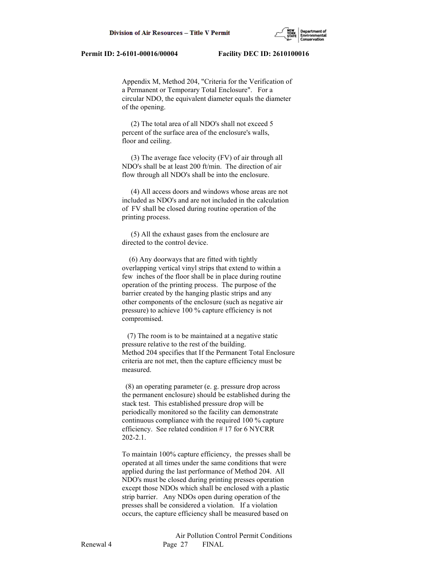Appendix M, Method 204, "Criteria for the Verification of a Permanent or Temporary Total Enclosure". For a circular NDO, the equivalent diameter equals the diameter of the opening.

 (2) The total area of all NDO's shall not exceed 5 percent of the surface area of the enclosure's walls, floor and ceiling.

 (3) The average face velocity (FV) of air through all NDO's shall be at least 200 ft/min. The direction of air flow through all NDO's shall be into the enclosure.

 (4) All access doors and windows whose areas are not included as NDO's and are not included in the calculation of FV shall be closed during routine operation of the printing process.

 (5) All the exhaust gases from the enclosure are directed to the control device.

 (6) Any doorways that are fitted with tightly overlapping vertical vinyl strips that extend to within a few inches of the floor shall be in place during routine operation of the printing process. The purpose of the barrier created by the hanging plastic strips and any other components of the enclosure (such as negative air pressure) to achieve 100 % capture efficiency is not compromised.

 (7) The room is to be maintained at a negative static pressure relative to the rest of the building. Method 204 specifies that If the Permanent Total Enclosure criteria are not met, then the capture efficiency must be measured.

 (8) an operating parameter (e. g. pressure drop across the permanent enclosure) should be established during the stack test. This established pressure drop will be periodically monitored so the facility can demonstrate continuous compliance with the required 100 % capture efficiency. See related condition # 17 for 6 NYCRR 202-2.1.

 To maintain 100% capture efficiency, the presses shall be operated at all times under the same conditions that were applied during the last performance of Method 204. All NDO's must be closed during printing presses operation except those NDOs which shall be enclosed with a plastic strip barrier. Any NDOs open during operation of the presses shall be considered a violation. If a violation occurs, the capture efficiency shall be measured based on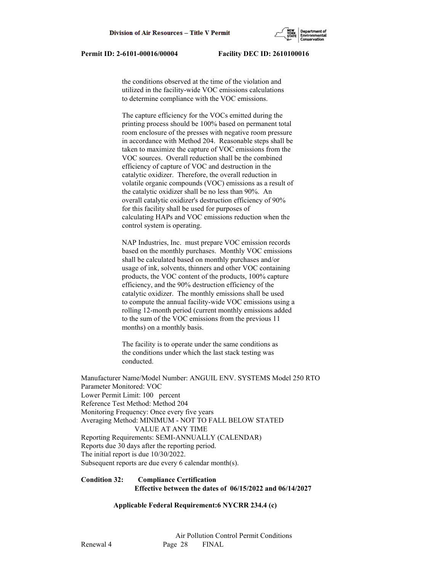the conditions observed at the time of the violation and utilized in the facility-wide VOC emissions calculations to determine compliance with the VOC emissions.

 The capture efficiency for the VOCs emitted during the printing process should be 100% based on permanent total room enclosure of the presses with negative room pressure in accordance with Method 204. Reasonable steps shall be taken to maximize the capture of VOC emissions from the VOC sources. Overall reduction shall be the combined efficiency of capture of VOC and destruction in the catalytic oxidizer. Therefore, the overall reduction in volatile organic compounds (VOC) emissions as a result of the catalytic oxidizer shall be no less than 90%. An overall catalytic oxidizer's destruction efficiency of 90% for this facility shall be used for purposes of calculating HAPs and VOC emissions reduction when the control system is operating.

 NAP Industries, Inc. must prepare VOC emission records based on the monthly purchases. Monthly VOC emissions shall be calculated based on monthly purchases and/or usage of ink, solvents, thinners and other VOC containing products, the VOC content of the products, 100% capture efficiency, and the 90% destruction efficiency of the catalytic oxidizer. The monthly emissions shall be used to compute the annual facility-wide VOC emissions using a rolling 12-month period (current monthly emissions added to the sum of the VOC emissions from the previous 11 months) on a monthly basis.

 The facility is to operate under the same conditions as the conditions under which the last stack testing was conducted.

Manufacturer Name/Model Number: ANGUIL ENV. SYSTEMS Model 250 RTO Parameter Monitored: VOC Lower Permit Limit: 100 percent Reference Test Method: Method 204 Monitoring Frequency: Once every five years Averaging Method: MINIMUM - NOT TO FALL BELOW STATED VALUE AT ANY TIME Reporting Requirements: SEMI-ANNUALLY (CALENDAR) Reports due 30 days after the reporting period. The initial report is due 10/30/2022. Subsequent reports are due every 6 calendar month(s).

# **Condition 32: Compliance Certification Effective between the dates of 06/15/2022 and 06/14/2027**

### **Applicable Federal Requirement:6 NYCRR 234.4 (c)**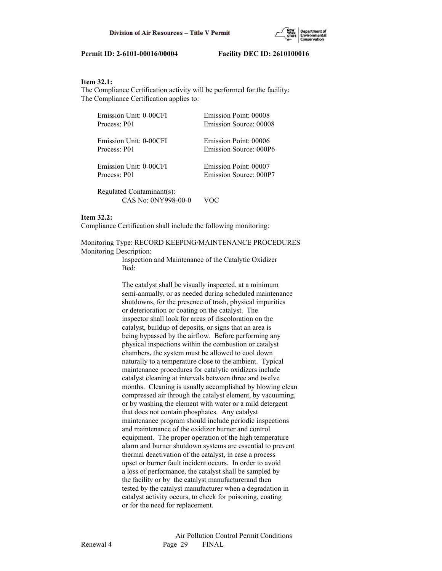

### **Item 32.1:**

The Compliance Certification activity will be performed for the facility: The Compliance Certification applies to:

| Emission Unit: 0-00CFI                           | Emission Point: 00008  |
|--------------------------------------------------|------------------------|
| Process: P01                                     | Emission Source: 00008 |
| Emission Unit: 0-00CFI                           | Emission Point: 00006  |
| Process: P01                                     | Emission Source: 000P6 |
| Emission Unit: 0-00CFI                           | Emission Point: 00007  |
| Process: P01                                     | Emission Source: 000P7 |
| Regulated Contaminant(s):<br>CAS No: 0NY998-00-0 |                        |

### **Item 32.2:**

Compliance Certification shall include the following monitoring:

Monitoring Type: RECORD KEEPING/MAINTENANCE PROCEDURES Monitoring Description:

> Inspection and Maintenance of the Catalytic Oxidizer Bed:

 The catalyst shall be visually inspected, at a minimum semi-annually, or as needed during scheduled maintenance shutdowns, for the presence of trash, physical impurities or deterioration or coating on the catalyst. The inspector shall look for areas of discoloration on the catalyst, buildup of deposits, or signs that an area is being bypassed by the airflow. Before performing any physical inspections within the combustion or catalyst chambers, the system must be allowed to cool down naturally to a temperature close to the ambient. Typical maintenance procedures for catalytic oxidizers include catalyst cleaning at intervals between three and twelve months. Cleaning is usually accomplished by blowing clean compressed air through the catalyst element, by vacuuming, or by washing the element with water or a mild detergent that does not contain phosphates. Any catalyst maintenance program should include periodic inspections and maintenance of the oxidizer burner and control equipment. The proper operation of the high temperature alarm and burner shutdown systems are essential to prevent thermal deactivation of the catalyst, in case a process upset or burner fault incident occurs. In order to avoid a loss of performance, the catalyst shall be sampled by the facility or by the catalyst manufacturerand then tested by the catalyst manufacturer when a degradation in catalyst activity occurs, to check for poisoning, coating or for the need for replacement.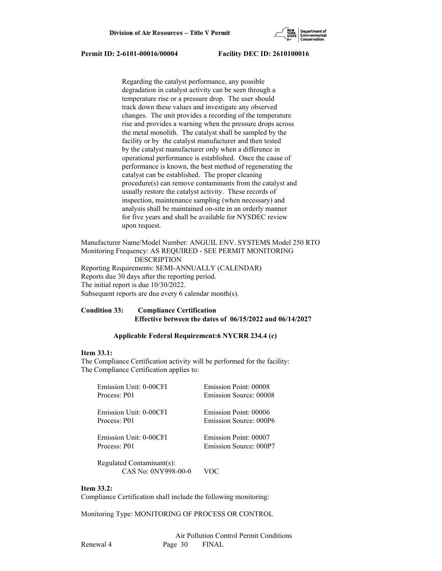

 Regarding the catalyst performance, any possible degradation in catalyst activity can be seen through a temperature rise or a pressure drop. The user should track down these values and investigate any observed changes. The unit provides a recording of the temperature rise and provides a warning when the pressure drops across the metal monolith. The catalyst shall be sampled by the facility or by the catalyst manufacturer and then tested by the catalyst manufacturer only when a difference in operational performance is established. Once the cause of performance is known, the best method of regenerating the catalyst can be established. The proper cleaning procedure(s) can remove contaminants from the catalyst and usually restore the catalyst activity. These records of inspection, maintenance sampling (when necessary) and analysis shall be maintained on-site in an orderly manner for five years and shall be available for NYSDEC review upon request.

Manufacturer Name/Model Number: ANGUIL ENV. SYSTEMS Model 250 RTO Monitoring Frequency: AS REQUIRED - SEE PERMIT MONITORING DESCRIPTION Reporting Requirements: SEMI-ANNUALLY (CALENDAR) Reports due 30 days after the reporting period. The initial report is due 10/30/2022. Subsequent reports are due every 6 calendar month(s).

# **Condition 33: Compliance Certification Effective between the dates of 06/15/2022 and 06/14/2027**

### **Applicable Federal Requirement:6 NYCRR 234.4 (c)**

# **Item 33.1:**

The Compliance Certification activity will be performed for the facility: The Compliance Certification applies to:

| Emission Unit: 0-00CFI    | Emission Point: 00008  |
|---------------------------|------------------------|
| Process: P01              | Emission Source: 00008 |
| Emission Unit: 0-00CFI    | Emission Point: 00006  |
| Process: P01              | Emission Source: 000P6 |
| Emission Unit: 0-00CFI    | Emission Point: 00007  |
| Process: P01              | Emission Source: 000P7 |
| Regulated Contaminant(s): |                        |

CAS No: 0NY998-00-0 VOC

### **Item 33.2:**

Compliance Certification shall include the following monitoring:

Monitoring Type: MONITORING OF PROCESS OR CONTROL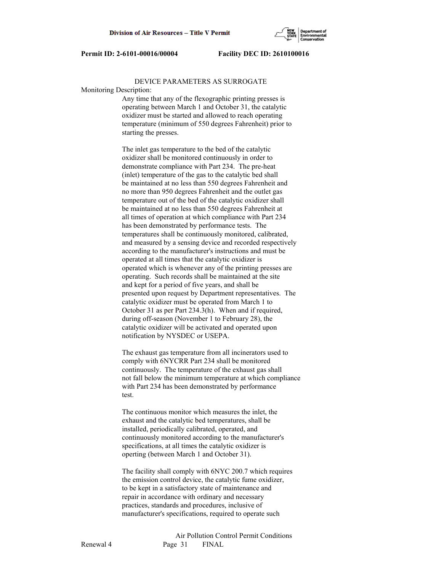

### DEVICE PARAMETERS AS SURROGATE

Monitoring Description:

 Any time that any of the flexographic printing presses is operating between March 1 and October 31, the catalytic oxidizer must be started and allowed to reach operating temperature (minimum of 550 degrees Fahrenheit) prior to starting the presses.

 The inlet gas temperature to the bed of the catalytic oxidizer shall be monitored continuously in order to demonstrate compliance with Part 234. The pre-heat (inlet) temperature of the gas to the catalytic bed shall be maintained at no less than 550 degrees Fahrenheit and no more than 950 degrees Fahrenheit and the outlet gas temperature out of the bed of the catalytic oxidizer shall be maintained at no less than 550 degrees Fahrenheit at all times of operation at which compliance with Part 234 has been demonstrated by performance tests. The temperatures shall be continuously monitored, calibrated, and measured by a sensing device and recorded respectively according to the manufacturer's instructions and must be operated at all times that the catalytic oxidizer is operated which is whenever any of the printing presses are operating. Such records shall be maintained at the site and kept for a period of five years, and shall be presented upon request by Department representatives. The catalytic oxidizer must be operated from March 1 to October 31 as per Part 234.3(h). When and if required, during off-season (November 1 to February 28), the catalytic oxidizer will be activated and operated upon notification by NYSDEC or USEPA.

 The exhaust gas temperature from all incinerators used to comply with 6NYCRR Part 234 shall be monitored continuously. The temperature of the exhaust gas shall not fall below the minimum temperature at which compliance with Part 234 has been demonstrated by performance test.

 The continuous monitor which measures the inlet, the exhaust and the catalytic bed temperatures, shall be installed, periodically calibrated, operated, and continuously monitored according to the manufacturer's specifications, at all times the catalytic oxidizer is operting (between March 1 and October 31).

 The facility shall comply with 6NYC 200.7 which requires the emission control device, the catalytic fume oxidizer, to be kept in a satisfactory state of maintenance and repair in accordance with ordinary and necessary practices, standards and procedures, inclusive of manufacturer's specifications, required to operate such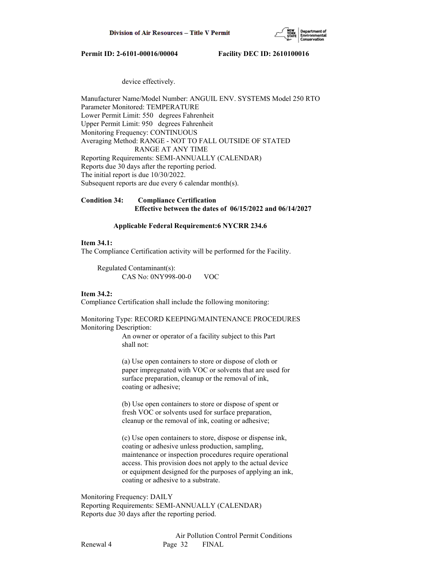

### device effectively.

Manufacturer Name/Model Number: ANGUIL ENV. SYSTEMS Model 250 RTO Parameter Monitored: TEMPERATURE Lower Permit Limit: 550 degrees Fahrenheit Upper Permit Limit: 950 degrees Fahrenheit Monitoring Frequency: CONTINUOUS Averaging Method: RANGE - NOT TO FALL OUTSIDE OF STATED RANGE AT ANY TIME Reporting Requirements: SEMI-ANNUALLY (CALENDAR) Reports due 30 days after the reporting period. The initial report is due 10/30/2022. Subsequent reports are due every 6 calendar month(s).

**Condition 34: Compliance Certification Effective between the dates of 06/15/2022 and 06/14/2027**

### **Applicable Federal Requirement:6 NYCRR 234.6**

### **Item 34.1:**

The Compliance Certification activity will be performed for the Facility.

 Regulated Contaminant(s): CAS No: 0NY998-00-0 VOC

### **Item 34.2:**

Compliance Certification shall include the following monitoring:

### Monitoring Type: RECORD KEEPING/MAINTENANCE PROCEDURES Monitoring Description:

 An owner or operator of a facility subject to this Part shall not:

 (a) Use open containers to store or dispose of cloth or paper impregnated with VOC or solvents that are used for surface preparation, cleanup or the removal of ink, coating or adhesive;

 (b) Use open containers to store or dispose of spent or fresh VOC or solvents used for surface preparation, cleanup or the removal of ink, coating or adhesive;

 (c) Use open containers to store, dispose or dispense ink, coating or adhesive unless production, sampling, maintenance or inspection procedures require operational access. This provision does not apply to the actual device or equipment designed for the purposes of applying an ink, coating or adhesive to a substrate.

Monitoring Frequency: DAILY Reporting Requirements: SEMI-ANNUALLY (CALENDAR) Reports due 30 days after the reporting period.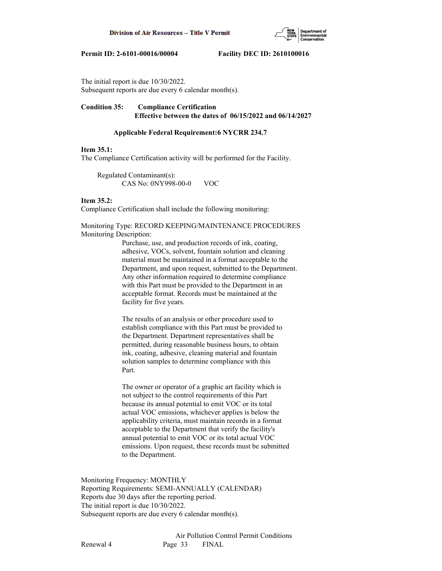

The initial report is due 10/30/2022. Subsequent reports are due every 6 calendar month(s).

**Condition 35: Compliance Certification Effective between the dates of 06/15/2022 and 06/14/2027**

### **Applicable Federal Requirement:6 NYCRR 234.7**

### **Item 35.1:**

The Compliance Certification activity will be performed for the Facility.

 Regulated Contaminant(s): CAS No: 0NY998-00-0 VOC

### **Item 35.2:**

Compliance Certification shall include the following monitoring:

### Monitoring Type: RECORD KEEPING/MAINTENANCE PROCEDURES Monitoring Description:

 Purchase, use, and production records of ink, coating, adhesive, VOCs, solvent, fountain solution and cleaning material must be maintained in a format acceptable to the Department, and upon request, submitted to the Department. Any other information required to determine compliance with this Part must be provided to the Department in an acceptable format. Records must be maintained at the facility for five years.

 The results of an analysis or other procedure used to establish compliance with this Part must be provided to the Department. Department representatives shall be permitted, during reasonable business hours, to obtain ink, coating, adhesive, cleaning material and fountain solution samples to determine compliance with this Part.

 The owner or operator of a graphic art facility which is not subject to the control requirements of this Part because its annual potential to emit VOC or its total actual VOC emissions, whichever applies is below the applicability criteria, must maintain records in a format acceptable to the Department that verify the facility's annual potential to emit VOC or its total actual VOC emissions. Upon request, these records must be submitted to the Department.

Monitoring Frequency: MONTHLY Reporting Requirements: SEMI-ANNUALLY (CALENDAR) Reports due 30 days after the reporting period. The initial report is due 10/30/2022. Subsequent reports are due every 6 calendar month(s).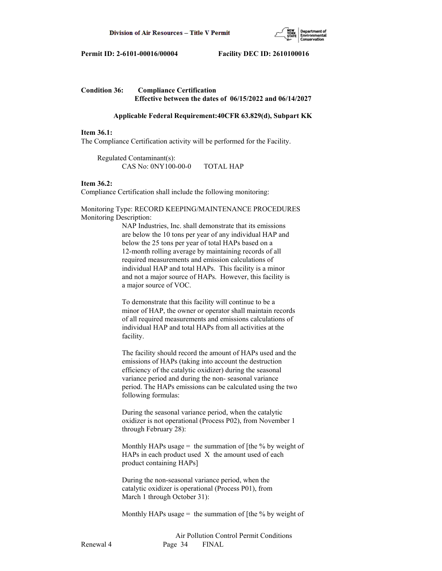

# **Condition 36: Compliance Certification Effective between the dates of 06/15/2022 and 06/14/2027**

### **Applicable Federal Requirement:40CFR 63.829(d), Subpart KK**

### **Item 36.1:**

The Compliance Certification activity will be performed for the Facility.

 Regulated Contaminant(s): CAS No: 0NY100-00-0 TOTAL HAP

### **Item 36.2:**

Compliance Certification shall include the following monitoring:

Monitoring Type: RECORD KEEPING/MAINTENANCE PROCEDURES Monitoring Description:

> NAP Industries, Inc. shall demonstrate that its emissions are below the 10 tons per year of any individual HAP and below the 25 tons per year of total HAPs based on a 12-month rolling average by maintaining records of all required measurements and emission calculations of individual HAP and total HAPs. This facility is a minor and not a major source of HAPs. However, this facility is a major source of VOC.

 To demonstrate that this facility will continue to be a minor of HAP, the owner or operator shall maintain records of all required measurements and emissions calculations of individual HAP and total HAPs from all activities at the facility.

 The facility should record the amount of HAPs used and the emissions of HAPs (taking into account the destruction efficiency of the catalytic oxidizer) during the seasonal variance period and during the non- seasonal variance period. The HAPs emissions can be calculated using the two following formulas:

 During the seasonal variance period, when the catalytic oxidizer is not operational (Process P02), from November 1 through February 28):

Monthly HAPs usage  $=$  the summation of [the % by weight of HAPs in each product used  $X$  the amount used of each product containing HAPs]

 During the non-seasonal variance period, when the catalytic oxidizer is operational (Process P01), from March 1 through October 31):

Monthly HAPs usage  $=$  the summation of [the % by weight of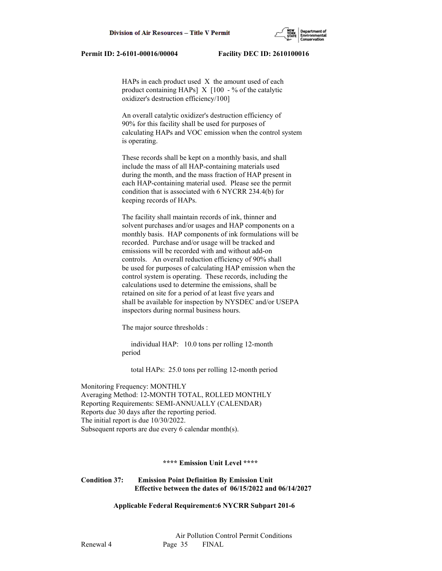HAPs in each product used X the amount used of each product containing HAPs]  $X$  [100 - % of the catalytic oxidizer's destruction efficiency/100]

 An overall catalytic oxidizer's destruction efficiency of 90% for this facility shall be used for purposes of calculating HAPs and VOC emission when the control system is operating.

 These records shall be kept on a monthly basis, and shall include the mass of all HAP-containing materials used during the month, and the mass fraction of HAP present in each HAP-containing material used. Please see the permit condition that is associated with 6 NYCRR 234.4(b) for keeping records of HAPs.

 The facility shall maintain records of ink, thinner and solvent purchases and/or usages and HAP components on a monthly basis. HAP components of ink formulations will be recorded. Purchase and/or usage will be tracked and emissions will be recorded with and without add-on controls. An overall reduction efficiency of 90% shall be used for purposes of calculating HAP emission when the control system is operating. These records, including the calculations used to determine the emissions, shall be retained on site for a period of at least five years and shall be available for inspection by NYSDEC and/or USEPA inspectors during normal business hours.

The major source thresholds :

 individual HAP: 10.0 tons per rolling 12-month period

total HAPs: 25.0 tons per rolling 12-month period

Monitoring Frequency: MONTHLY Averaging Method: 12-MONTH TOTAL, ROLLED MONTHLY Reporting Requirements: SEMI-ANNUALLY (CALENDAR) Reports due 30 days after the reporting period. The initial report is due 10/30/2022. Subsequent reports are due every 6 calendar month(s).

### **\*\*\*\* Emission Unit Level \*\*\*\***

**Condition 37: Emission Point Definition By Emission Unit Effective between the dates of 06/15/2022 and 06/14/2027**

 **Applicable Federal Requirement:6 NYCRR Subpart 201-6**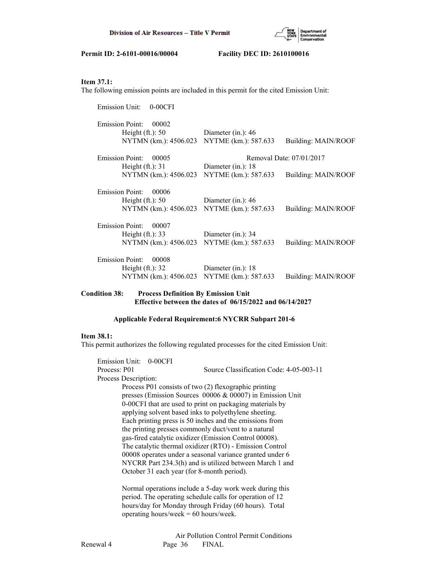

# **Item 37.1:**

The following emission points are included in this permit for the cited Emission Unit:

| <b>Emission Unit:</b><br>$0-00CFI$ |                       |                          |
|------------------------------------|-----------------------|--------------------------|
| <b>Emission Point:</b><br>00002    |                       |                          |
| Height $(ft.)$ : 50                | Diameter (in.): $46$  |                          |
| NYTMN (km.): 4506.023              | NYTME (km.): 587.633  | Building: MAIN/ROOF      |
| <b>Emission Point:</b><br>00005    |                       | Removal Date: 07/01/2017 |
| Height $(ft.)$ : 31                | Diameter (in.): $18$  |                          |
| NYTMN (km.): 4506.023              | NYTME (km.): 587.633  | Building: MAIN/ROOF      |
| <b>Emission Point:</b><br>00006    |                       |                          |
| Height $(ft.)$ : 50                | Diameter (in.): $46$  |                          |
| NYTMN (km.): 4506.023              | NYTME (km.): 587.633  | Building: MAIN/ROOF      |
| <b>Emission Point:</b><br>00007    |                       |                          |
| Height $(ft.)$ : 33                | Diameter $(in.)$ : 34 |                          |
| NYTMN (km.): 4506.023              | NYTME (km.): 587.633  | Building: MAIN/ROOF      |
| <b>Emission Point:</b><br>00008    |                       |                          |
| Height $(ft.)$ : 32                | Diameter (in.): $18$  |                          |
| NYTMN (km.): 4506.023              | NYTME (km.): 587.633  | Building: MAIN/ROOF      |
|                                    |                       |                          |

# **Condition 38: Process Definition By Emission Unit Effective between the dates of 06/15/2022 and 06/14/2027**

# **Applicable Federal Requirement:6 NYCRR Subpart 201-6**

# **Item 38.1:**

This permit authorizes the following regulated processes for the cited Emission Unit:

| Emission Unit: 0-00CFI |                                                           |  |
|------------------------|-----------------------------------------------------------|--|
| Process: P01           | Source Classification Code: 4-05-003-11                   |  |
| Process Description:   |                                                           |  |
|                        | Process P01 consists of two (2) flexographic printing     |  |
|                        | presses (Emission Sources 00006 & 00007) in Emission Unit |  |
|                        | 0-00CFI that are used to print on packaging materials by  |  |
|                        | applying solvent based inks to polyethylene sheeting.     |  |
|                        | Each printing press is 50 inches and the emissions from   |  |
|                        | the printing presses commonly duct/vent to a natural      |  |
|                        | gas-fired catalytic oxidizer (Emission Control 00008).    |  |
|                        | The catalytic thermal oxidizer (RTO) - Emission Control   |  |
|                        | 00008 operates under a seasonal variance granted under 6  |  |
|                        | NYCRR Part 234.3(h) and is utilized between March 1 and   |  |
|                        | October 31 each year (for 8-month period).                |  |
|                        | Normal operations include a 5-day work week during this   |  |
|                        | period. The operating schedule calls for operation of 12  |  |
|                        | hours/day for Monday through Friday (60 hours). Total     |  |

operating hours/week = 60 hours/week.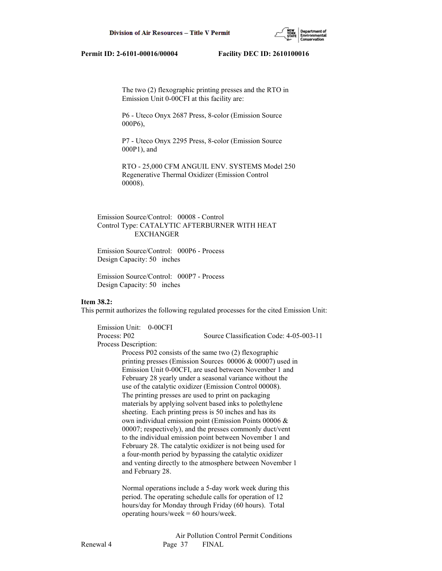

 The two (2) flexographic printing presses and the RTO in Emission Unit 0-00CFI at this facility are:

 P6 - Uteco Onyx 2687 Press, 8-color (Emission Source 000P6),

 P7 - Uteco Onyx 2295 Press, 8-color (Emission Source 000P1), and

 RTO - 25,000 CFM ANGUIL ENV. SYSTEMS Model 250 Regenerative Thermal Oxidizer (Emission Control 00008).

# Emission Source/Control: 00008 - Control Control Type: CATALYTIC AFTERBURNER WITH HEAT EXCHANGER

 Emission Source/Control: 000P6 - Process Design Capacity: 50 inches

 Emission Source/Control: 000P7 - Process Design Capacity: 50 inches

### **Item 38.2:**

This permit authorizes the following regulated processes for the cited Emission Unit:

 Emission Unit: 0-00CFI Process: P02 Source Classification Code: 4-05-003-11 Process Description: Process P02 consists of the same two (2) flexographic printing presses (Emission Sources 00006 & 00007) used in Emission Unit 0-00CFI, are used between November 1 and February 28 yearly under a seasonal variance without the use of the catalytic oxidizer (Emission Control 00008). The printing presses are used to print on packaging materials by applying solvent based inks to polethylene sheeting. Each printing press is 50 inches and has its own individual emission point (Emission Points 00006 & 00007; respectively), and the presses commonly duct/vent to the individual emission point between November 1 and February 28. The catalytic oxidizer is not being used for a four-month period by bypassing the catalytic oxidizer and venting directly to the atmosphere between November 1 and February 28.

> Normal operations include a 5-day work week during this period. The operating schedule calls for operation of 12 hours/day for Monday through Friday (60 hours). Total operating hours/week  $= 60$  hours/week.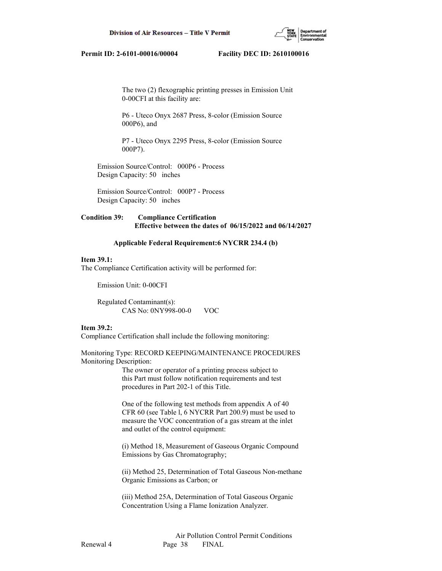

 The two (2) flexographic printing presses in Emission Unit 0-00CFI at this facility are:

 P6 - Uteco Onyx 2687 Press, 8-color (Emission Source 000P6), and

 P7 - Uteco Onyx 2295 Press, 8-color (Emission Source 000P7).

 Emission Source/Control: 000P6 - Process Design Capacity: 50 inches

 Emission Source/Control: 000P7 - Process Design Capacity: 50 inches

# **Condition 39: Compliance Certification Effective between the dates of 06/15/2022 and 06/14/2027**

### **Applicable Federal Requirement:6 NYCRR 234.4 (b)**

### **Item 39.1:**

The Compliance Certification activity will be performed for:

Emission Unit: 0-00CFI

 Regulated Contaminant(s): CAS No: 0NY998-00-0 VOC

### **Item 39.2:**

Compliance Certification shall include the following monitoring:

Monitoring Type: RECORD KEEPING/MAINTENANCE PROCEDURES Monitoring Description:

> The owner or operator of a printing process subject to this Part must follow notification requirements and test procedures in Part 202-1 of this Title.

 One of the following test methods from appendix A of 40 CFR 60 (see Table l, 6 NYCRR Part 200.9) must be used to measure the VOC concentration of a gas stream at the inlet and outlet of the control equipment:

 (i) Method 18, Measurement of Gaseous Organic Compound Emissions by Gas Chromatography;

 (ii) Method 25, Determination of Total Gaseous Non-methane Organic Emissions as Carbon; or

 (iii) Method 25A, Determination of Total Gaseous Organic Concentration Using a Flame Ionization Analyzer.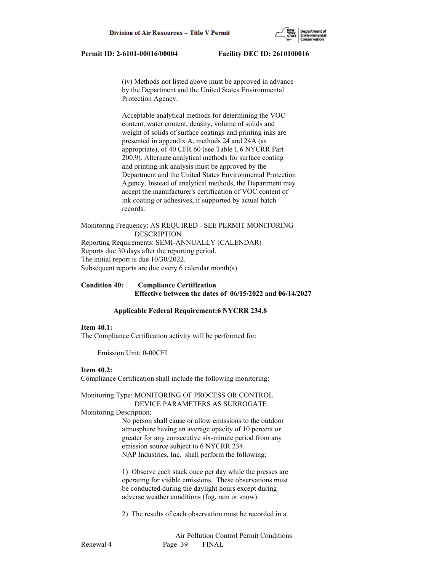(iv) Methods not listed above must be approved in advance by the Department and the United States Environmental Protection Agency.

 Acceptable analytical methods for determining the VOC content, water content, density, volume of solids and weight of solids of surface coatings and printing inks are presented in appendix A, methods 24 and 24A (as appropriate), of 40 CFR 60 (see Table l, 6 NYCRR Part 200.9). Alternate analytical methods for surface coating and printing ink analysis must be approved by the Department and the United States Environmental Protection Agency. Instead of analytical methods, the Department may accept the manufacturer's certification of VOC content of ink coating or adhesives, if supported by actual batch records.

Monitoring Frequency: AS REQUIRED - SEE PERMIT MONITORING DESCRIPTION Reporting Requirements: SEMI-ANNUALLY (CALENDAR) Reports due 30 days after the reporting period. The initial report is due 10/30/2022. Subsequent reports are due every 6 calendar month(s).

# **Condition 40: Compliance Certification Effective between the dates of 06/15/2022 and 06/14/2027**

### **Applicable Federal Requirement:6 NYCRR 234.8**

### **Item 40.1:**

The Compliance Certification activity will be performed for:

Emission Unit: 0-00CFI

# **Item 40.2:**

Compliance Certification shall include the following monitoring:

### Monitoring Type: MONITORING OF PROCESS OR CONTROL DEVICE PARAMETERS AS SURROGATE

### Monitoring Description:

 No person shall cause or allow emissions to the outdoor atmosphere having an average opacity of 10 percent or greater for any consecutive six-minute period from any emission source subject to 6 NYCRR 234. NAP Industries, Inc. shall perform the following:

 1) Observe each stack once per day while the presses are operating for visible emissions. These observations must be conducted during the daylight hours except during adverse weather conditions (fog, rain or snow).

2) The results of each observation must be recorded in a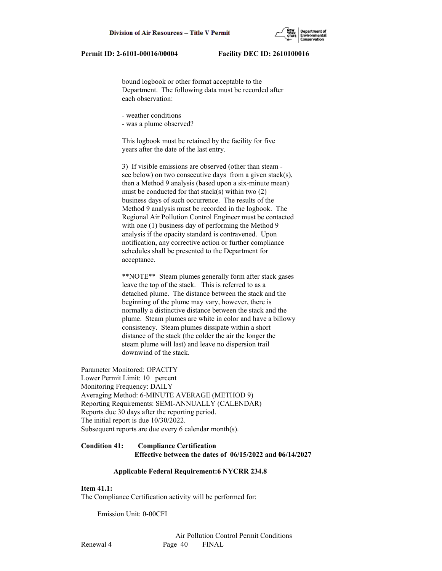

 bound logbook or other format acceptable to the Department. The following data must be recorded after each observation:

- weather conditions

- was a plume observed?

 This logbook must be retained by the facility for five years after the date of the last entry.

 3) If visible emissions are observed (other than steam see below) on two consecutive days from a given stack(s), then a Method 9 analysis (based upon a six-minute mean) must be conducted for that stack(s) within two  $(2)$  business days of such occurrence. The results of the Method 9 analysis must be recorded in the logbook. The Regional Air Pollution Control Engineer must be contacted with one (1) business day of performing the Method 9 analysis if the opacity standard is contravened. Upon notification, any corrective action or further compliance schedules shall be presented to the Department for acceptance.

 \*\*NOTE\*\* Steam plumes generally form after stack gases leave the top of the stack. This is referred to as a detached plume. The distance between the stack and the beginning of the plume may vary, however, there is normally a distinctive distance between the stack and the plume. Steam plumes are white in color and have a billowy consistency. Steam plumes dissipate within a short distance of the stack (the colder the air the longer the steam plume will last) and leave no dispersion trail downwind of the stack.

Parameter Monitored: OPACITY Lower Permit Limit: 10 percent Monitoring Frequency: DAILY Averaging Method: 6-MINUTE AVERAGE (METHOD 9) Reporting Requirements: SEMI-ANNUALLY (CALENDAR) Reports due 30 days after the reporting period. The initial report is due 10/30/2022. Subsequent reports are due every 6 calendar month(s).

# **Condition 41: Compliance Certification Effective between the dates of 06/15/2022 and 06/14/2027**

### **Applicable Federal Requirement:6 NYCRR 234.8**

### **Item 41.1:**

The Compliance Certification activity will be performed for:

Emission Unit: 0-00CFI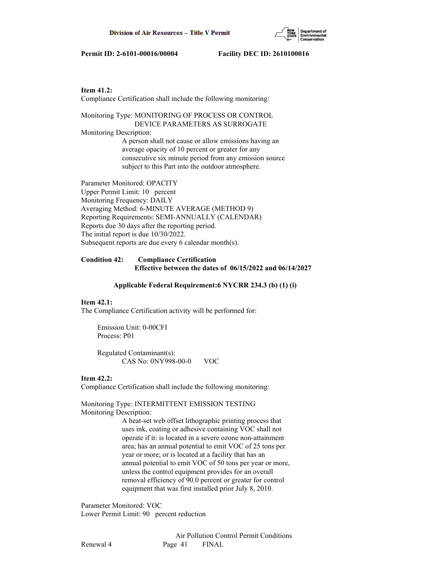

### **Item 41.2:**

Compliance Certification shall include the following monitoring:

Monitoring Type: MONITORING OF PROCESS OR CONTROL DEVICE PARAMETERS AS SURROGATE

Monitoring Description:

 A person shall not cause or allow emissions having an average opacity of 10 percent or greater for any consecutive six minute period from any emission source subject to this Part into the outdoor atmosphere.

Parameter Monitored: OPACITY Upper Permit Limit: 10 percent Monitoring Frequency: DAILY Averaging Method: 6-MINUTE AVERAGE (METHOD 9) Reporting Requirements: SEMI-ANNUALLY (CALENDAR) Reports due 30 days after the reporting period. The initial report is due 10/30/2022. Subsequent reports are due every 6 calendar month(s).

### **Condition 42: Compliance Certification Effective between the dates of 06/15/2022 and 06/14/2027**

### **Applicable Federal Requirement:6 NYCRR 234.3 (b) (1) (i)**

### **Item 42.1:**

The Compliance Certification activity will be performed for:

 Emission Unit: 0-00CFI Process: P01

 Regulated Contaminant(s): CAS No: 0NY998-00-0 VOC

### **Item 42.2:**

Compliance Certification shall include the following monitoring:

Monitoring Type: INTERMITTENT EMISSION TESTING Monitoring Description:

> A heat-set web offset lithographic printing process that uses ink, coating or adhesive containing VOC shall not operate if it: is located in a severe ozone non-attainment area; has an annual potential to emit VOC of 25 tons per year or more; or is located at a facility that has an annual potential to emit VOC of 50 tons per year or more, unless the control equipment provides for an overall removal efficiency of 90.0 percent or greater for control equipment that was first installed prior July 8, 2010.

Parameter Monitored: VOC Lower Permit Limit: 90 percent reduction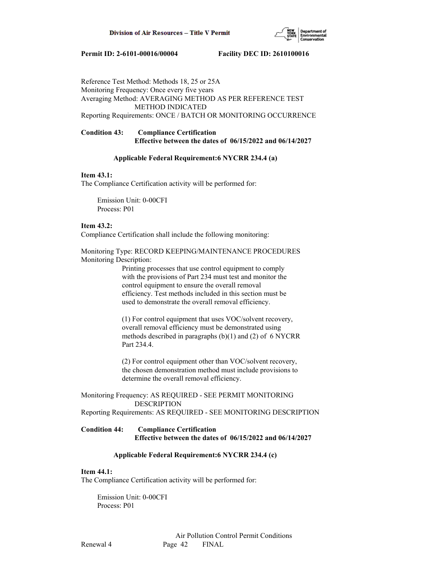

Reference Test Method: Methods 18, 25 or 25A Monitoring Frequency: Once every five years Averaging Method: AVERAGING METHOD AS PER REFERENCE TEST METHOD INDICATED Reporting Requirements: ONCE / BATCH OR MONITORING OCCURRENCE

# **Condition 43: Compliance Certification Effective between the dates of 06/15/2022 and 06/14/2027**

### **Applicable Federal Requirement:6 NYCRR 234.4 (a)**

### **Item 43.1:**

The Compliance Certification activity will be performed for:

 Emission Unit: 0-00CFI Process: P01

### **Item 43.2:**

Compliance Certification shall include the following monitoring:

Monitoring Type: RECORD KEEPING/MAINTENANCE PROCEDURES Monitoring Description:

> Printing processes that use control equipment to comply with the provisions of Part 234 must test and monitor the control equipment to ensure the overall removal efficiency. Test methods included in this section must be used to demonstrate the overall removal efficiency.

 (1) For control equipment that uses VOC/solvent recovery, overall removal efficiency must be demonstrated using methods described in paragraphs (b)(1) and (2) of 6 NYCRR Part 234.4.

 (2) For control equipment other than VOC/solvent recovery, the chosen demonstration method must include provisions to determine the overall removal efficiency.

Monitoring Frequency: AS REQUIRED - SEE PERMIT MONITORING DESCRIPTION

Reporting Requirements: AS REQUIRED - SEE MONITORING DESCRIPTION

# **Condition 44: Compliance Certification Effective between the dates of 06/15/2022 and 06/14/2027**

### **Applicable Federal Requirement:6 NYCRR 234.4 (c)**

### **Item 44.1:**

The Compliance Certification activity will be performed for:

 Emission Unit: 0-00CFI Process: P01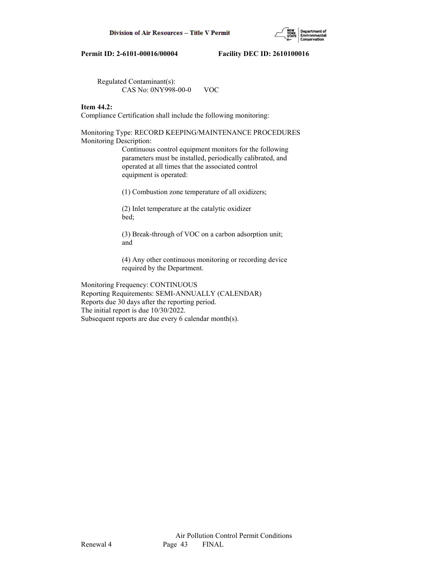

 Regulated Contaminant(s): CAS No: 0NY998-00-0 VOC

# **Item 44.2:**

Compliance Certification shall include the following monitoring:

Monitoring Type: RECORD KEEPING/MAINTENANCE PROCEDURES Monitoring Description:

> Continuous control equipment monitors for the following parameters must be installed, periodically calibrated, and operated at all times that the associated control equipment is operated:

(1) Combustion zone temperature of all oxidizers;

 (2) Inlet temperature at the catalytic oxidizer bed;

 (3) Break-through of VOC on a carbon adsorption unit; and

 (4) Any other continuous monitoring or recording device required by the Department.

Monitoring Frequency: CONTINUOUS Reporting Requirements: SEMI-ANNUALLY (CALENDAR) Reports due 30 days after the reporting period. The initial report is due 10/30/2022. Subsequent reports are due every 6 calendar month(s).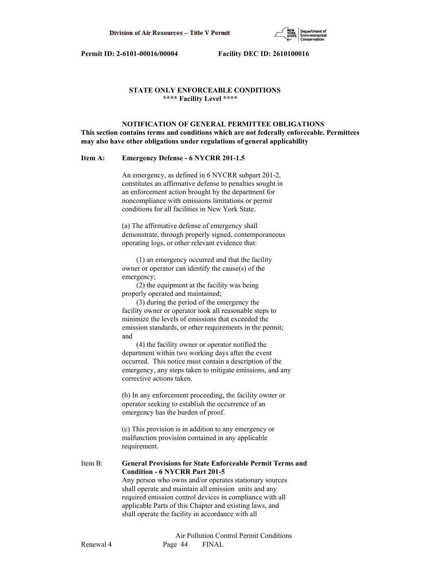

# **STATE ONLY ENFORCEABLE CONDITIONS \*\*\*\* Facility Level \*\*\*\***

 **NOTIFICATION OF GENERAL PERMITTEE OBLIGATIONS This section contains terms and conditions which are not federally enforceable. Permittees may also have other obligations under regulations of general applicability**

### **Item A: Emergency Defense - 6 NYCRR 201-1.5**

 An emergency, as defined in 6 NYCRR subpart 201-2, constitutes an affirmative defense to penalties sought in an enforcement action brought by the department for noncompliance with emissions limitations or permit conditions for all facilities in New York State.

 (a) The affirmative defense of emergency shall demonstrate, through properly signed, contemporaneous operating logs, or other relevant evidence that:

 (1) an emergency occurred and that the facility owner or operator can identify the cause(s) of the emergency;

 (2) the equipment at the facility was being properly operated and maintained;

 (3) during the period of the emergency the facility owner or operator took all reasonable steps to minimize the levels of emissions that exceeded the emission standards, or other requirements in the permit; and

 (4) the facility owner or operator notified the department within two working days after the event occurred. This notice must contain a description of the emergency, any steps taken to mitigate emissions, and any corrective actions taken.

 (b) In any enforcement proceeding, the facility owner or operator seeking to establish the occurrence of an emergency has the burden of proof.

 (c) This provision is in addition to any emergency or malfunction provision contained in any applicable requirement.

Item B: **General Provisions for State Enforceable Permit Terms and Condition - 6 NYCRR Part 201-5** Any person who owns and/or operates stationary sources shall operate and maintain all emission units and any required emission control devices in compliance with all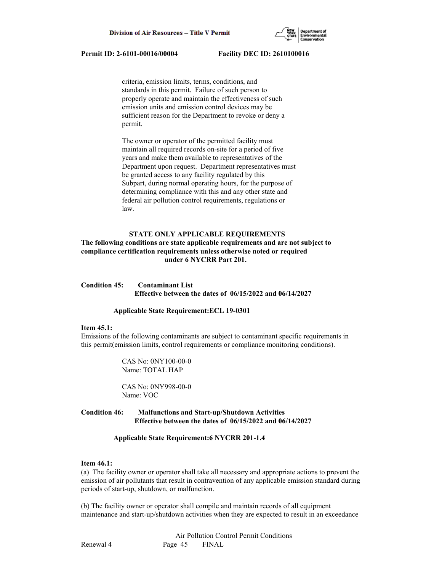

 criteria, emission limits, terms, conditions, and standards in this permit. Failure of such person to properly operate and maintain the effectiveness of such emission units and emission control devices may be sufficient reason for the Department to revoke or deny a permit.

 The owner or operator of the permitted facility must maintain all required records on-site for a period of five years and make them available to representatives of the Department upon request. Department representatives must be granted access to any facility regulated by this Subpart, during normal operating hours, for the purpose of determining compliance with this and any other state and federal air pollution control requirements, regulations or law.

### **STATE ONLY APPLICABLE REQUIREMENTS**

# **The following conditions are state applicable requirements and are not subject to compliance certification requirements unless otherwise noted or required under 6 NYCRR Part 201.**

# **Condition 45: Contaminant List Effective between the dates of 06/15/2022 and 06/14/2027**

### **Applicable State Requirement:ECL 19-0301**

### **Item 45.1:**

Emissions of the following contaminants are subject to contaminant specific requirements in this permit(emission limits, control requirements or compliance monitoring conditions).

> CAS No: 0NY100-00-0 Name: TOTAL HAP

 CAS No: 0NY998-00-0 Name: VOC

# **Condition 46: Malfunctions and Start-up/Shutdown Activities Effective between the dates of 06/15/2022 and 06/14/2027**

### **Applicable State Requirement:6 NYCRR 201-1.4**

### **Item 46.1:**

(a) The facility owner or operator shall take all necessary and appropriate actions to prevent the emission of air pollutants that result in contravention of any applicable emission standard during periods of start-up, shutdown, or malfunction.

(b) The facility owner or operator shall compile and maintain records of all equipment maintenance and start-up/shutdown activities when they are expected to result in an exceedance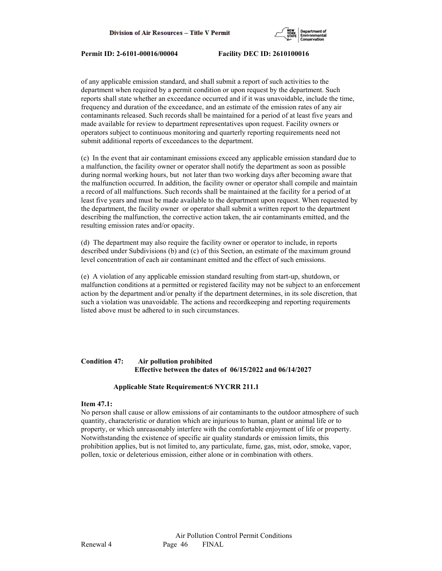

of any applicable emission standard, and shall submit a report of such activities to the department when required by a permit condition or upon request by the department. Such reports shall state whether an exceedance occurred and if it was unavoidable, include the time, frequency and duration of the exceedance, and an estimate of the emission rates of any air contaminants released. Such records shall be maintained for a period of at least five years and made available for review to department representatives upon request. Facility owners or operators subject to continuous monitoring and quarterly reporting requirements need not submit additional reports of exceedances to the department.

(c) In the event that air contaminant emissions exceed any applicable emission standard due to a malfunction, the facility owner or operator shall notify the department as soon as possible during normal working hours, but not later than two working days after becoming aware that the malfunction occurred. In addition, the facility owner or operator shall compile and maintain a record of all malfunctions. Such records shall be maintained at the facility for a period of at least five years and must be made available to the department upon request. When requested by the department, the facility owner or operator shall submit a written report to the department describing the malfunction, the corrective action taken, the air contaminants emitted, and the resulting emission rates and/or opacity.

(d) The department may also require the facility owner or operator to include, in reports described under Subdivisions (b) and (c) of this Section, an estimate of the maximum ground level concentration of each air contaminant emitted and the effect of such emissions.

(e) A violation of any applicable emission standard resulting from start-up, shutdown, or malfunction conditions at a permitted or registered facility may not be subject to an enforcement action by the department and/or penalty if the department determines, in its sole discretion, that such a violation was unavoidable. The actions and recordkeeping and reporting requirements listed above must be adhered to in such circumstances.

# **Condition 47: Air pollution prohibited Effective between the dates of 06/15/2022 and 06/14/2027**

### **Applicable State Requirement:6 NYCRR 211.1**

### **Item 47.1:**

No person shall cause or allow emissions of air contaminants to the outdoor atmosphere of such quantity, characteristic or duration which are injurious to human, plant or animal life or to property, or which unreasonably interfere with the comfortable enjoyment of life or property. Notwithstanding the existence of specific air quality standards or emission limits, this prohibition applies, but is not limited to, any particulate, fume, gas, mist, odor, smoke, vapor, pollen, toxic or deleterious emission, either alone or in combination with others.